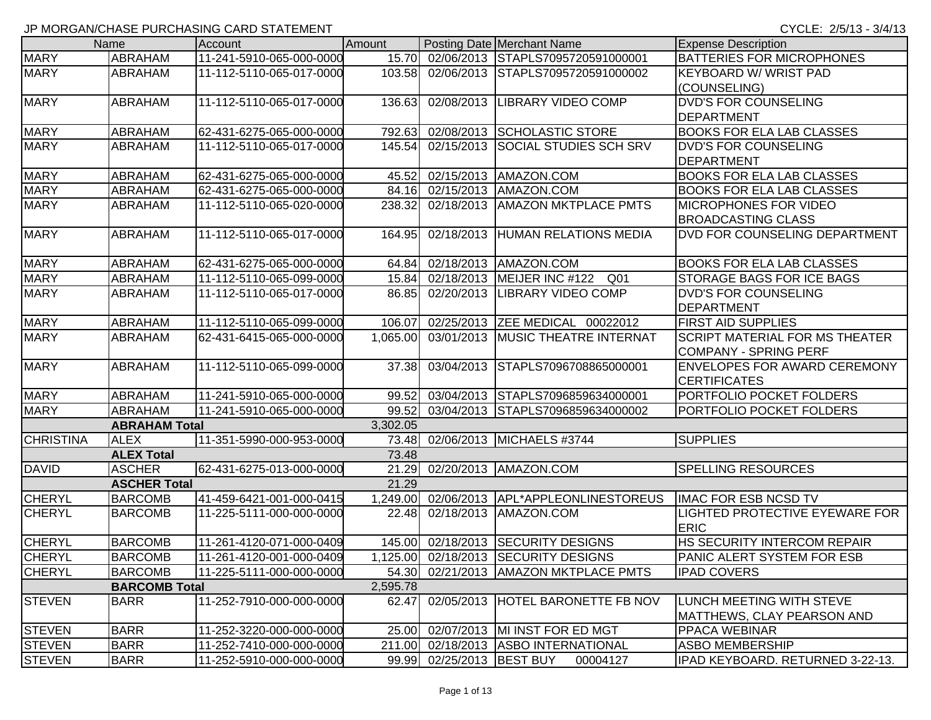|                  | Name                 | Account                  | Amount   |                     | Posting Date Merchant Name                    | <b>Expense Description</b>            |
|------------------|----------------------|--------------------------|----------|---------------------|-----------------------------------------------|---------------------------------------|
| <b>MARY</b>      | <b>ABRAHAM</b>       | 11-241-5910-065-000-0000 |          |                     | 15.70 02/06/2013 STAPLS7095720591000001       | <b>BATTERIES FOR MICROPHONES</b>      |
| <b>MARY</b>      | <b>ABRAHAM</b>       | 11-112-5110-065-017-0000 | 103.58   |                     | 02/06/2013 STAPLS7095720591000002             | <b>KEYBOARD W/ WRIST PAD</b>          |
|                  |                      |                          |          |                     |                                               | (COUNSELING)                          |
| <b>MARY</b>      | <b>ABRAHAM</b>       | 11-112-5110-065-017-0000 | 136.63   | 02/08/2013          | LIBRARY VIDEO COMP                            | <b>DVD'S FOR COUNSELING</b>           |
|                  |                      |                          |          |                     |                                               | <b>DEPARTMENT</b>                     |
| <b>MARY</b>      | <b>ABRAHAM</b>       | 62-431-6275-065-000-0000 | 792.63   |                     | 02/08/2013 SCHOLASTIC STORE                   | <b>BOOKS FOR ELA LAB CLASSES</b>      |
| <b>MARY</b>      | <b>ABRAHAM</b>       | 11-112-5110-065-017-0000 | 145.54   |                     | 02/15/2013 SOCIAL STUDIES SCH SRV             | <b>DVD'S FOR COUNSELING</b>           |
|                  |                      |                          |          |                     |                                               | <b>DEPARTMENT</b>                     |
| <b>MARY</b>      | <b>ABRAHAM</b>       | 62-431-6275-065-000-0000 | 45.52    |                     | 02/15/2013 AMAZON.COM                         | <b>BOOKS FOR ELA LAB CLASSES</b>      |
| <b>MARY</b>      | <b>ABRAHAM</b>       | 62-431-6275-065-000-0000 | 84.16    |                     | 02/15/2013 AMAZON.COM                         | <b>BOOKS FOR ELA LAB CLASSES</b>      |
| <b>MARY</b>      | <b>ABRAHAM</b>       | 11-112-5110-065-020-0000 | 238.32   |                     | 02/18/2013   AMAZON MKTPLACE PMTS             | <b>MICROPHONES FOR VIDEO</b>          |
|                  |                      |                          |          |                     |                                               | <b>BROADCASTING CLASS</b>             |
| <b>MARY</b>      | <b>ABRAHAM</b>       | 11-112-5110-065-017-0000 | 164.95   |                     | 02/18/2013 HUMAN RELATIONS MEDIA              | DVD FOR COUNSELING DEPARTMENT         |
| <b>MARY</b>      | <b>ABRAHAM</b>       | 62-431-6275-065-000-0000 | 64.84    |                     | 02/18/2013   AMAZON.COM                       | <b>BOOKS FOR ELA LAB CLASSES</b>      |
| <b>MARY</b>      | ABRAHAM              | 11-112-5110-065-099-0000 | 15.84    |                     | Q <sub>01</sub><br>02/18/2013 MEIJER INC #122 | <b>STORAGE BAGS FOR ICE BAGS</b>      |
| <b>MARY</b>      | ABRAHAM              | 11-112-5110-065-017-0000 | 86.85    |                     | 02/20/2013 LIBRARY VIDEO COMP                 | DVD'S FOR COUNSELING                  |
|                  |                      |                          |          |                     |                                               | <b>DEPARTMENT</b>                     |
| <b>MARY</b>      | <b>ABRAHAM</b>       | 11-112-5110-065-099-0000 | 106.07   |                     | 02/25/2013 ZEE MEDICAL 00022012               | <b>FIRST AID SUPPLIES</b>             |
| <b>MARY</b>      | <b>ABRAHAM</b>       | 62-431-6415-065-000-0000 | 1,065.00 |                     | 03/01/2013 MUSIC THEATRE INTERNAT             | <b>SCRIPT MATERIAL FOR MS THEATER</b> |
|                  |                      |                          |          |                     |                                               | <b>COMPANY - SPRING PERF</b>          |
| <b>MARY</b>      | <b>ABRAHAM</b>       | 11-112-5110-065-099-0000 | 37.38    | 03/04/2013          | STAPLS7096708865000001                        | <b>ENVELOPES FOR AWARD CEREMONY</b>   |
|                  |                      |                          |          |                     |                                               | <b>CERTIFICATES</b>                   |
| <b>MARY</b>      | <b>ABRAHAM</b>       | 11-241-5910-065-000-0000 | 99.52    |                     | 03/04/2013 STAPLS7096859634000001             | PORTFOLIO POCKET FOLDERS              |
| <b>MARY</b>      | <b>ABRAHAM</b>       | 11-241-5910-065-000-0000 | 99.52    |                     | 03/04/2013 STAPLS7096859634000002             | PORTFOLIO POCKET FOLDERS              |
|                  | <b>ABRAHAM Total</b> |                          | 3,302.05 |                     |                                               |                                       |
| <b>CHRISTINA</b> | <b>ALEX</b>          | 11-351-5990-000-953-0000 | 73.48    |                     | 02/06/2013 MICHAELS #3744                     | <b>SUPPLIES</b>                       |
|                  | <b>ALEX Total</b>    |                          | 73.48    |                     |                                               |                                       |
| <b>DAVID</b>     | <b>ASCHER</b>        | 62-431-6275-013-000-0000 | 21.29    |                     | 02/20/2013 AMAZON.COM                         | <b>SPELLING RESOURCES</b>             |
|                  | <b>ASCHER Total</b>  |                          | 21.29    |                     |                                               |                                       |
| <b>CHERYL</b>    | <b>BARCOMB</b>       | 41-459-6421-001-000-0415 | 1,249.00 |                     | 02/06/2013 APL*APPLEONLINESTOREUS             | <b>IMAC FOR ESB NCSD TV</b>           |
| <b>CHERYL</b>    | <b>BARCOMB</b>       | 11-225-5111-000-000-0000 | 22.48    |                     | 02/18/2013   AMAZON.COM                       | LIGHTED PROTECTIVE EYEWARE FOR        |
|                  |                      |                          |          |                     |                                               | <b>ERIC</b>                           |
| <b>CHERYL</b>    | <b>BARCOMB</b>       | 11-261-4120-071-000-0409 | 145.00   |                     | 02/18/2013 SECURITY DESIGNS                   | HS SECURITY INTERCOM REPAIR           |
| <b>CHERYL</b>    | <b>BARCOMB</b>       | 11-261-4120-001-000-0409 | 1,125.00 |                     | 02/18/2013 SECURITY DESIGNS                   | PANIC ALERT SYSTEM FOR ESB            |
| <b>CHERYL</b>    | <b>BARCOMB</b>       | 11-225-5111-000-000-0000 |          |                     | 54.30 02/21/2013 AMAZON MKTPLACE PMTS         | <b>IPAD COVERS</b>                    |
|                  | <b>BARCOMB Total</b> |                          | 2,595.78 |                     |                                               |                                       |
| <b>STEVEN</b>    | <b>BARR</b>          | 11-252-7910-000-000-0000 | 62.47    |                     | 02/05/2013 HOTEL BARONETTE FB NOV             | LUNCH MEETING WITH STEVE              |
|                  |                      |                          |          |                     |                                               | <b>MATTHEWS, CLAY PEARSON AND</b>     |
| <b>STEVEN</b>    | <b>BARR</b>          | 11-252-3220-000-000-0000 | 25.00    |                     | 02/07/2013  MI INST FOR ED MGT                | PPACA WEBINAR                         |
| <b>STEVEN</b>    | <b>BARR</b>          | 11-252-7410-000-000-0000 | 211.00   |                     | 02/18/2013 ASBO INTERNATIONAL                 | <b>ASBO MEMBERSHIP</b>                |
| <b>STEVEN</b>    | <b>BARR</b>          | 11-252-5910-000-000-0000 | 99.99    | 02/25/2013 BEST BUY | 00004127                                      | IPAD KEYBOARD. RETURNED 3-22-13.      |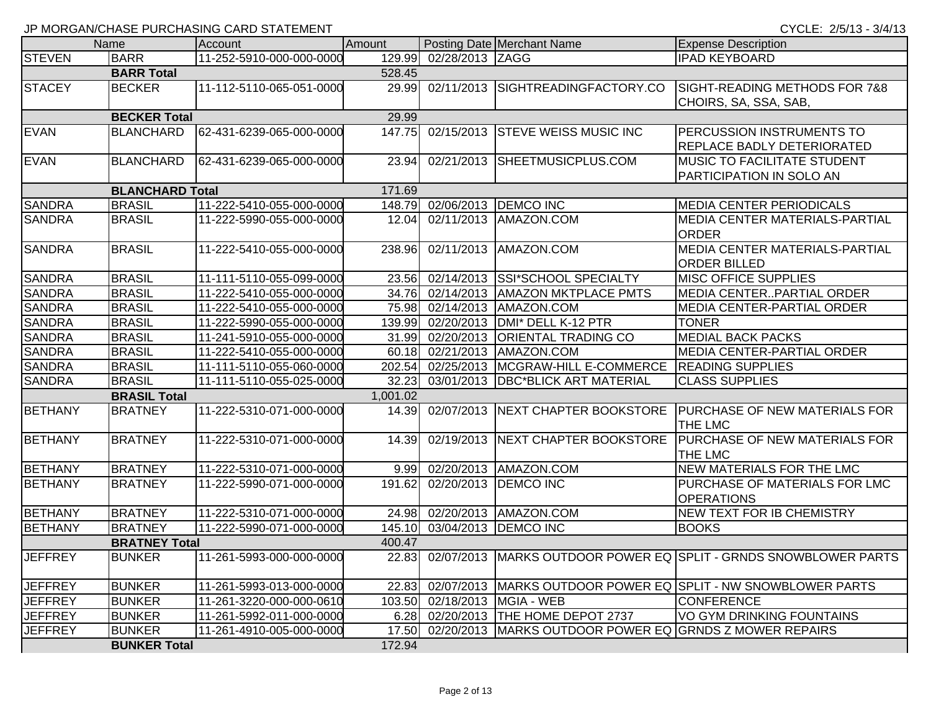CYCLE: 2/5/13 - 3/4/13

|                |                        | $\frac{1}{2}$ . Morton world to the content to the control of the content of the content of the content of the content of the content of the content of the content of the content of the content of the content of the content o |          |                 |                                                         |                                                                        |
|----------------|------------------------|-----------------------------------------------------------------------------------------------------------------------------------------------------------------------------------------------------------------------------------|----------|-----------------|---------------------------------------------------------|------------------------------------------------------------------------|
|                | Name                   | Account                                                                                                                                                                                                                           | Amount   |                 | Posting Date Merchant Name                              | <b>Expense Description</b>                                             |
| <b>STEVEN</b>  | <b>BARR</b>            | 11-252-5910-000-000-0000                                                                                                                                                                                                          | 129.99   | 02/28/2013 ZAGG |                                                         | <b>IPAD KEYBOARD</b>                                                   |
|                | <b>BARR Total</b>      |                                                                                                                                                                                                                                   | 528.45   |                 |                                                         |                                                                        |
| <b>STACEY</b>  | <b>BECKER</b>          | 11-112-5110-065-051-0000                                                                                                                                                                                                          | 29.99    |                 | 02/11/2013 SIGHTREADINGFACTORY.CO                       | SIGHT-READING METHODS FOR 7&8<br>CHOIRS, SA, SSA, SAB,                 |
|                | <b>BECKER Total</b>    |                                                                                                                                                                                                                                   | 29.99    |                 |                                                         |                                                                        |
| <b>EVAN</b>    | <b>BLANCHARD</b>       | 62-431-6239-065-000-0000                                                                                                                                                                                                          | 147.75   |                 | 02/15/2013 STEVE WEISS MUSIC INC                        | PERCUSSION INSTRUMENTS TO<br>REPLACE BADLY DETERIORATED                |
| <b>EVAN</b>    | <b>BLANCHARD</b>       | 62-431-6239-065-000-0000                                                                                                                                                                                                          | 23.94    |                 | 02/21/2013 SHEETMUSICPLUS.COM                           | MUSIC TO FACILITATE STUDENT<br>PARTICIPATION IN SOLO AN                |
|                | <b>BLANCHARD Total</b> |                                                                                                                                                                                                                                   | 171.69   |                 |                                                         |                                                                        |
| <b>SANDRA</b>  | <b>BRASIL</b>          | 11-222-5410-055-000-0000                                                                                                                                                                                                          |          |                 | 148.79 02/06/2013 DEMCO INC                             | <b>MEDIA CENTER PERIODICALS</b>                                        |
| <b>SANDRA</b>  | <b>BRASIL</b>          | 11-222-5990-055-000-0000                                                                                                                                                                                                          | 12.04    |                 | 02/11/2013 AMAZON.COM                                   | MEDIA CENTER MATERIALS-PARTIAL<br><b>ORDER</b>                         |
| <b>SANDRA</b>  | <b>BRASIL</b>          | 11-222-5410-055-000-0000                                                                                                                                                                                                          | 238.96   |                 | 02/11/2013 AMAZON.COM                                   | MEDIA CENTER MATERIALS-PARTIAL<br><b>ORDER BILLED</b>                  |
| <b>SANDRA</b>  | <b>BRASIL</b>          | 11-111-5110-055-099-0000                                                                                                                                                                                                          | 23.56    |                 | 02/14/2013 SSI*SCHOOL SPECIALTY                         | MISC OFFICE SUPPLIES                                                   |
| <b>SANDRA</b>  | <b>BRASIL</b>          | 11-222-5410-055-000-0000                                                                                                                                                                                                          |          |                 | 34.76 02/14/2013 AMAZON MKTPLACE PMTS                   | <b>MEDIA CENTERPARTIAL ORDER</b>                                       |
| <b>SANDRA</b>  | <b>BRASIL</b>          | 11-222-5410-055-000-0000                                                                                                                                                                                                          |          |                 | 75.98 02/14/2013 AMAZON.COM                             | <b>MEDIA CENTER-PARTIAL ORDER</b>                                      |
| <b>SANDRA</b>  | <b>BRASIL</b>          | 11-222-5990-055-000-0000                                                                                                                                                                                                          | 139.99   |                 | 02/20/2013 DMI* DELL K-12 PTR                           | <b>TONER</b>                                                           |
| <b>SANDRA</b>  | <b>BRASIL</b>          | 11-241-5910-055-000-0000                                                                                                                                                                                                          | 31.99    |                 | 02/20/2013 ORIENTAL TRADING CO                          | <b>MEDIAL BACK PACKS</b>                                               |
| <b>SANDRA</b>  | <b>BRASIL</b>          | 11-222-5410-055-000-0000                                                                                                                                                                                                          | 60.18    |                 | 02/21/2013   AMAZON.COM                                 | <b>MEDIA CENTER-PARTIAL ORDER</b>                                      |
| <b>SANDRA</b>  | <b>BRASIL</b>          | 11-111-5110-055-060-0000                                                                                                                                                                                                          | 202.54   |                 | 02/25/2013   MCGRAW-HILL E-COMMERCE                     | <b>READING SUPPLIES</b>                                                |
| <b>SANDRA</b>  | <b>BRASIL</b>          | 11-111-5110-055-025-0000                                                                                                                                                                                                          | 32.23    |                 | 03/01/2013   DBC*BLICK ART MATERIAL                     | <b>CLASS SUPPLIES</b>                                                  |
|                | <b>BRASIL Total</b>    |                                                                                                                                                                                                                                   | 1,001.02 |                 |                                                         |                                                                        |
| <b>BETHANY</b> | <b>BRATNEY</b>         | 11-222-5310-071-000-0000                                                                                                                                                                                                          | 14.39    |                 | 02/07/2013 NEXT CHAPTER BOOKSTORE                       | <b>PURCHASE OF NEW MATERIALS FOR</b><br>THE LMC                        |
| <b>BETHANY</b> | <b>BRATNEY</b>         | 11-222-5310-071-000-0000                                                                                                                                                                                                          | 14.39    |                 | 02/19/2013 NEXT CHAPTER BOOKSTORE                       | <b>PURCHASE OF NEW MATERIALS FOR</b><br>THE LMC                        |
| <b>BETHANY</b> | <b>BRATNEY</b>         | 11-222-5310-071-000-0000                                                                                                                                                                                                          | 9.99     |                 | 02/20/2013 AMAZON.COM                                   | NEW MATERIALS FOR THE LMC                                              |
| <b>BETHANY</b> | <b>BRATNEY</b>         | 11-222-5990-071-000-0000                                                                                                                                                                                                          | 191.62   |                 | 02/20/2013   DEMCO INC                                  | PURCHASE OF MATERIALS FOR LMC<br><b>OPERATIONS</b>                     |
| <b>BETHANY</b> | <b>BRATNEY</b>         | 11-222-5310-071-000-0000                                                                                                                                                                                                          | 24.98    |                 | 02/20/2013   AMAZON.COM                                 | NEW TEXT FOR IB CHEMISTRY                                              |
| <b>BETHANY</b> | <b>BRATNEY</b>         | 11-222-5990-071-000-0000                                                                                                                                                                                                          | 145.10   |                 | 03/04/2013  DEMCO INC                                   | <b>BOOKS</b>                                                           |
|                | <b>BRATNEY Total</b>   |                                                                                                                                                                                                                                   | 400.47   |                 |                                                         |                                                                        |
| <b>JEFFREY</b> | <b>BUNKER</b>          | 11-261-5993-000-000-0000                                                                                                                                                                                                          |          |                 |                                                         | 22.83 02/07/2013 MARKS OUTDOOR POWER EQ SPLIT - GRNDS SNOWBLOWER PARTS |
| <b>JEFFREY</b> | <b>BUNKER</b>          | 11-261-5993-013-000-0000                                                                                                                                                                                                          |          |                 |                                                         | 22.83 02/07/2013 MARKS OUTDOOR POWER EQ SPLIT - NW SNOWBLOWER PARTS    |
| <b>JEFFREY</b> | <b>BUNKER</b>          | 11-261-3220-000-000-0610                                                                                                                                                                                                          |          |                 | 103.50 02/18/2013 MGIA - WEB                            | <b>CONFERENCE</b>                                                      |
| <b>JEFFREY</b> | <b>BUNKER</b>          | 11-261-5992-011-000-0000                                                                                                                                                                                                          |          |                 | 6.28 02/20/2013 THE HOME DEPOT 2737                     | VO GYM DRINKING FOUNTAINS                                              |
| <b>JEFFREY</b> | <b>BUNKER</b>          | 11-261-4910-005-000-0000                                                                                                                                                                                                          | 17.50    |                 | 02/20/2013 MARKS OUTDOOR POWER EQ GRNDS Z MOWER REPAIRS |                                                                        |
|                | <b>BUNKER Total</b>    |                                                                                                                                                                                                                                   | 172.94   |                 |                                                         |                                                                        |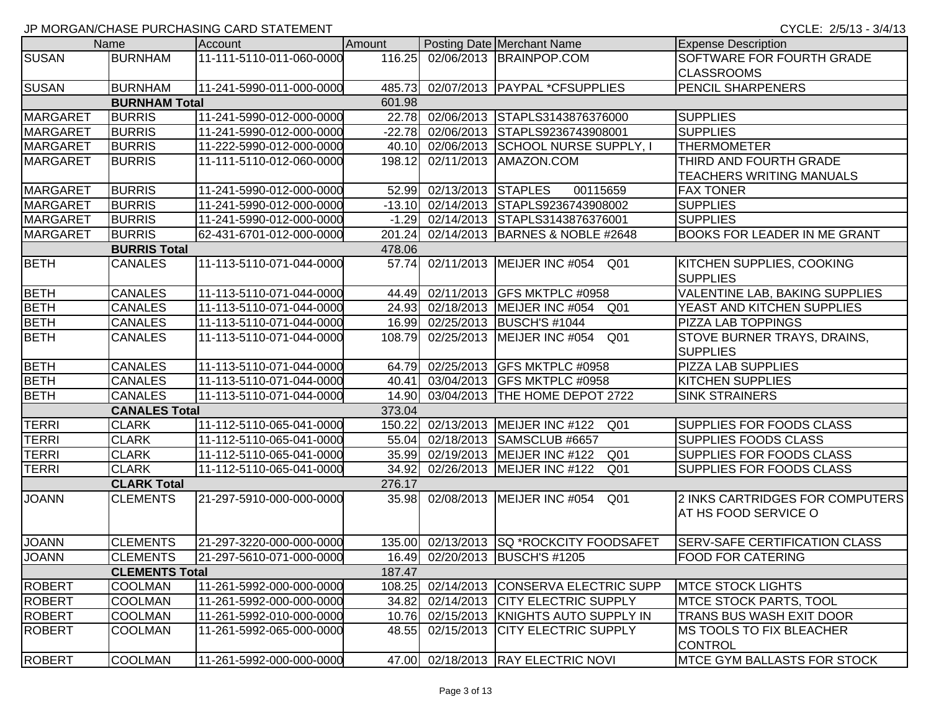|                 | Name                  | Account                  | Amount |                          | Posting Date Merchant Name                           | <b>Expense Description</b>                                |
|-----------------|-----------------------|--------------------------|--------|--------------------------|------------------------------------------------------|-----------------------------------------------------------|
| <b>SUSAN</b>    | <b>BURNHAM</b>        | 11-111-5110-011-060-0000 |        |                          | 116.25 02/06/2013 BRAINPOP.COM                       | SOFTWARE FOR FOURTH GRADE<br><b>CLASSROOMS</b>            |
| <b>SUSAN</b>    | <b>BURNHAM</b>        | 11-241-5990-011-000-0000 |        |                          | 485.73 02/07/2013   PAYPAL *CFSUPPLIES               | <b>PENCIL SHARPENERS</b>                                  |
|                 | <b>BURNHAM Total</b>  |                          | 601.98 |                          |                                                      |                                                           |
| <b>MARGARET</b> | <b>BURRIS</b>         | 11-241-5990-012-000-0000 |        |                          | 22.78 02/06/2013 STAPLS3143876376000                 | <b>SUPPLIES</b>                                           |
| <b>MARGARET</b> | <b>BURRIS</b>         | 11-241-5990-012-000-0000 |        |                          | -22.78 02/06/2013 STAPLS9236743908001                | <b>SUPPLIES</b>                                           |
| <b>MARGARET</b> | <b>BURRIS</b>         | 11-222-5990-012-000-0000 |        |                          | 40.10 02/06/2013 SCHOOL NURSE SUPPLY, I              | <b>THERMOMETER</b>                                        |
| <b>MARGARET</b> | <b>BURRIS</b>         | 11-111-5110-012-060-0000 | 198.12 |                          | 02/11/2013 AMAZON.COM                                | THIRD AND FOURTH GRADE<br><b>TEACHERS WRITING MANUALS</b> |
| <b>MARGARET</b> | <b>BURRIS</b>         | 11-241-5990-012-000-0000 |        | 52.99 02/13/2013 STAPLES | 00115659                                             | <b>FAX TONER</b>                                          |
| <b>MARGARET</b> | <b>BURRIS</b>         | 11-241-5990-012-000-0000 |        |                          | -13.10 02/14/2013 STAPLS9236743908002                | <b>SUPPLIES</b>                                           |
| <b>MARGARET</b> | <b>BURRIS</b>         | 11-241-5990-012-000-0000 |        |                          | -1.29 02/14/2013 STAPLS3143876376001                 | <b>SUPPLIES</b>                                           |
| <b>MARGARET</b> | <b>BURRIS</b>         | 62-431-6701-012-000-0000 |        |                          | 201.24 02/14/2013 BARNES & NOBLE #2648               | <b>BOOKS FOR LEADER IN ME GRANT</b>                       |
|                 | <b>BURRIS Total</b>   |                          | 478.06 |                          |                                                      |                                                           |
| <b>BETH</b>     | <b>CANALES</b>        | 11-113-5110-071-044-0000 |        |                          | 57.74 02/11/2013 MEIJER INC #054<br>Q01              | KITCHEN SUPPLIES, COOKING<br><b>SUPPLIES</b>              |
| <b>BETH</b>     | <b>CANALES</b>        | 11-113-5110-071-044-0000 |        |                          | 44.49 02/11/2013 GFS MKTPLC #0958                    | <b>VALENTINE LAB, BAKING SUPPLIES</b>                     |
| <b>BETH</b>     | <b>CANALES</b>        | 11-113-5110-071-044-0000 |        |                          | 24.93 02/18/2013 MEIJER INC #054 Q01                 | YEAST AND KITCHEN SUPPLIES                                |
| <b>BETH</b>     | <b>CANALES</b>        | 11-113-5110-071-044-0000 |        |                          | 16.99 02/25/2013 BUSCH'S #1044                       | <b>PIZZA LAB TOPPINGS</b>                                 |
| <b>BETH</b>     | <b>CANALES</b>        | 11-113-5110-071-044-0000 |        |                          | 108.79 02/25/2013 MEIJER INC #054<br>Q01             | STOVE BURNER TRAYS, DRAINS,<br><b>SUPPLIES</b>            |
| <b>BETH</b>     | <b>CANALES</b>        | 11-113-5110-071-044-0000 |        |                          | 64.79 02/25/2013 GFS MKTPLC #0958                    | PIZZA LAB SUPPLIES                                        |
| <b>BETH</b>     | <b>CANALES</b>        | 11-113-5110-071-044-0000 |        |                          | 40.41 03/04/2013 GFS MKTPLC #0958                    | <b>KITCHEN SUPPLIES</b>                                   |
| <b>BETH</b>     | <b>CANALES</b>        | 11-113-5110-071-044-0000 |        |                          | 14.90 03/04/2013  THE HOME DEPOT 2722                | <b>SINK STRAINERS</b>                                     |
|                 | <b>CANALES Total</b>  |                          | 373.04 |                          |                                                      |                                                           |
| <b>TERRI</b>    | <b>CLARK</b>          | 11-112-5110-065-041-0000 |        |                          | 150.22 02/13/2013 MEIJER INC #122<br>Q <sub>01</sub> | SUPPLIES FOR FOODS CLASS                                  |
| <b>TERRI</b>    | <b>CLARK</b>          | 11-112-5110-065-041-0000 |        |                          | 55.04 02/18/2013 SAMSCLUB #6657                      | <b>SUPPLIES FOODS CLASS</b>                               |
| <b>TERRI</b>    | <b>CLARK</b>          | 11-112-5110-065-041-0000 |        |                          | 35.99 02/19/2013 MEIJER INC #122<br>Q <sub>01</sub>  | SUPPLIES FOR FOODS CLASS                                  |
| <b>TERRI</b>    | <b>CLARK</b>          | 11-112-5110-065-041-0000 |        |                          | 34.92 02/26/2013 MEIJER INC #122<br>Q <sub>01</sub>  | SUPPLIES FOR FOODS CLASS                                  |
|                 | <b>CLARK Total</b>    |                          | 276.17 |                          |                                                      |                                                           |
| <b>JOANN</b>    | <b>CLEMENTS</b>       | 21-297-5910-000-000-0000 |        |                          | 35.98 02/08/2013 MEIJER INC #054<br>Q01              | 2 INKS CARTRIDGES FOR COMPUTERS<br>AT HS FOOD SERVICE O   |
| <b>JOANN</b>    | <b>CLEMENTS</b>       | 21-297-3220-000-000-0000 |        |                          | 135.00 02/13/2013 SQ *ROCKCITY FOODSAFET             | <b>SERV-SAFE CERTIFICATION CLASS</b>                      |
| <b>JOANN</b>    | <b>CLEMENTS</b>       | 21-297-5610-071-000-0000 |        |                          | 16.49 02/20/2013 BUSCH'S #1205                       | <b>FOOD FOR CATERING</b>                                  |
|                 | <b>CLEMENTS Total</b> |                          | 187.47 |                          |                                                      |                                                           |
| <b>ROBERT</b>   | <b>COOLMAN</b>        | 11-261-5992-000-000-0000 |        |                          | 108.25 02/14/2013 CONSERVA ELECTRIC SUPP             | <b>IMTCE STOCK LIGHTS</b>                                 |
| <b>ROBERT</b>   | <b>COOLMAN</b>        | 11-261-5992-000-000-0000 |        |                          | 34.82 02/14/2013 CITY ELECTRIC SUPPLY                | <b>IMTCE STOCK PARTS, TOOL</b>                            |
| <b>ROBERT</b>   | <b>COOLMAN</b>        | 11-261-5992-010-000-0000 |        |                          | 10.76 02/15/2013 KNIGHTS AUTO SUPPLY IN              | <b>TRANS BUS WASH EXIT DOOR</b>                           |
| <b>ROBERT</b>   | <b>COOLMAN</b>        | 11-261-5992-065-000-0000 | 48.55  |                          | 02/15/2013 CITY ELECTRIC SUPPLY                      | <b>MS TOOLS TO FIX BLEACHER</b><br><b>CONTROL</b>         |
| <b>ROBERT</b>   | <b>COOLMAN</b>        | 11-261-5992-000-000-0000 |        |                          | 47.00 02/18/2013 RAY ELECTRIC NOVI                   | <b>MTCE GYM BALLASTS FOR STOCK</b>                        |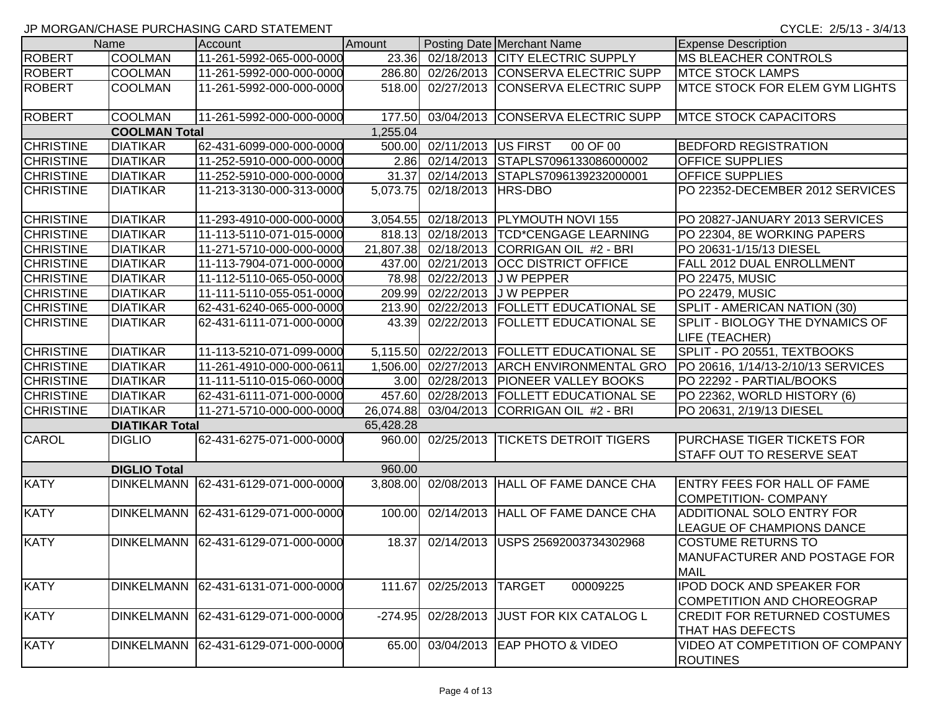|                  | Name                  | Account                  | Amount    |                            | Posting Date Merchant Name                 | <b>Expense Description</b>                                               |
|------------------|-----------------------|--------------------------|-----------|----------------------------|--------------------------------------------|--------------------------------------------------------------------------|
| <b>ROBERT</b>    | <b>COOLMAN</b>        | 11-261-5992-065-000-0000 | 23.36     |                            | 02/18/2013 CITY ELECTRIC SUPPLY            | <b>MS BLEACHER CONTROLS</b>                                              |
| <b>ROBERT</b>    | <b>COOLMAN</b>        | 11-261-5992-000-000-0000 | 286.80    |                            | 02/26/2013 CONSERVA ELECTRIC SUPP          | <b>MTCE STOCK LAMPS</b>                                                  |
| <b>ROBERT</b>    | <b>COOLMAN</b>        | 11-261-5992-000-000-0000 | 518.00    |                            | 02/27/2013 CONSERVA ELECTRIC SUPP          | MTCE STOCK FOR ELEM GYM LIGHTS                                           |
| <b>ROBERT</b>    | COOLMAN               | 11-261-5992-000-000-0000 | 177.50    |                            | 03/04/2013 CONSERVA ELECTRIC SUPP          | <b>MTCE STOCK CAPACITORS</b>                                             |
|                  | <b>COOLMAN Total</b>  |                          | 1,255.04  |                            |                                            |                                                                          |
| <b>CHRISTINE</b> | <b>DIATIKAR</b>       | 62-431-6099-000-000-0000 |           | 500.00 02/11/2013 US FIRST | 00 OF 00                                   | <b>BEDFORD REGISTRATION</b>                                              |
| <b>CHRISTINE</b> | <b>DIATIKAR</b>       | 11-252-5910-000-000-0000 |           |                            | 2.86 02/14/2013 STAPLS7096133086000002     | <b>OFFICE SUPPLIES</b>                                                   |
| <b>CHRISTINE</b> | <b>DIATIKAR</b>       | 11-252-5910-000-000-0000 | 31.37     |                            | 02/14/2013 STAPLS7096139232000001          | <b>OFFICE SUPPLIES</b>                                                   |
| <b>CHRISTINE</b> | <b>DIATIKAR</b>       | 11-213-3130-000-313-0000 | 5,073.75  | 02/18/2013                 | <b>HRS-DBO</b>                             | PO 22352-DECEMBER 2012 SERVICES                                          |
| <b>CHRISTINE</b> | <b>DIATIKAR</b>       | 11-293-4910-000-000-0000 | 3,054.55  |                            | 02/18/2013   PLYMOUTH NOVI 155             | PO 20827-JANUARY 2013 SERVICES                                           |
| <b>CHRISTINE</b> | <b>DIATIKAR</b>       | 11-113-5110-071-015-0000 | 818.13    |                            | 02/18/2013  TCD*CENGAGE LEARNING           | PO 22304, 8E WORKING PAPERS                                              |
| <b>CHRISTINE</b> | <b>DIATIKAR</b>       | 11-271-5710-000-000-0000 | 21,807.38 | 02/18/2013                 | CORRIGAN OIL #2 - BRI                      | PO 20631-1/15/13 DIESEL                                                  |
| <b>CHRISTINE</b> | <b>DIATIKAR</b>       | 11-113-7904-071-000-0000 | 437.00    |                            | 02/21/2013 OCC DISTRICT OFFICE             | FALL 2012 DUAL ENROLLMENT                                                |
| <b>CHRISTINE</b> | <b>DIATIKAR</b>       | 11-112-5110-065-050-0000 | 78.98     |                            | 02/22/2013 J W PEPPER                      | PO 22475, MUSIC                                                          |
| <b>CHRISTINE</b> | <b>DIATIKAR</b>       | 11-111-5110-055-051-0000 | 209.99    |                            | 02/22/2013 J W PEPPER                      | <b>PO 22479, MUSIC</b>                                                   |
| <b>CHRISTINE</b> | <b>DIATIKAR</b>       | 62-431-6240-065-000-0000 | 213.90    |                            | 02/22/2013  FOLLETT EDUCATIONAL SE         | SPLIT - AMERICAN NATION (30)                                             |
| <b>CHRISTINE</b> | <b>DIATIKAR</b>       | 62-431-6111-071-000-0000 | 43.39     |                            | 02/22/2013   FOLLETT EDUCATIONAL SE        | SPLIT - BIOLOGY THE DYNAMICS OF<br>LIFE (TEACHER)                        |
| <b>CHRISTINE</b> | <b>DIATIKAR</b>       | 11-113-5210-071-099-0000 | 5,115.50  |                            | 02/22/2013   FOLLETT EDUCATIONAL SE        | SPLIT - PO 20551, TEXTBOOKS                                              |
| <b>CHRISTINE</b> | <b>DIATIKAR</b>       | 11-261-4910-000-000-0611 | 1,506.00  |                            | 02/27/2013 ARCH ENVIRONMENTAL GRO          | PO 20616, 1/14/13-2/10/13 SERVICES                                       |
| <b>CHRISTINE</b> | <b>DIATIKAR</b>       | 11-111-5110-015-060-0000 | 3.00      |                            | 02/28/2013   PIONEER VALLEY BOOKS          | PO 22292 - PARTIAL/BOOKS                                                 |
| <b>CHRISTINE</b> | <b>DIATIKAR</b>       | 62-431-6111-071-000-0000 | 457.60    |                            | 02/28/2013   FOLLETT EDUCATIONAL SE        | PO 22362, WORLD HISTORY (6)                                              |
| <b>CHRISTINE</b> | <b>DIATIKAR</b>       | 11-271-5710-000-000-0000 |           |                            | 26,074.88 03/04/2013 CORRIGAN OIL #2 - BRI | PO 20631, 2/19/13 DIESEL                                                 |
|                  | <b>DIATIKAR Total</b> |                          | 65,428.28 |                            |                                            |                                                                          |
| <b>CAROL</b>     | <b>DIGLIO</b>         | 62-431-6275-071-000-0000 | 960.00    |                            | 02/25/2013  TICKETS DETROIT TIGERS         | <b>PURCHASE TIGER TICKETS FOR</b><br><b>STAFF OUT TO RESERVE SEAT</b>    |
|                  | <b>DIGLIO Total</b>   |                          | 960.00    |                            |                                            |                                                                          |
| <b>KATY</b>      | <b>DINKELMANN</b>     | 62-431-6129-071-000-0000 | 3,808.00  |                            | 02/08/2013 HALL OF FAME DANCE CHA          | ENTRY FEES FOR HALL OF FAME<br><b>COMPETITION- COMPANY</b>               |
| <b>KATY</b>      | <b>DINKELMANN</b>     | 62-431-6129-071-000-0000 | 100.00    |                            | 02/14/2013 HALL OF FAME DANCE CHA          | ADDITIONAL SOLO ENTRY FOR<br>LEAGUE OF CHAMPIONS DANCE                   |
| <b>KATY</b>      | <b>DINKELMANN</b>     | 62-431-6129-071-000-0000 | 18.37     |                            | 02/14/2013 USPS 25692003734302968          | <b>COSTUME RETURNS TO</b><br>MANUFACTURER AND POSTAGE FOR<br><b>MAIL</b> |
| <b>KATY</b>      | <b>DINKELMANN</b>     | 62-431-6131-071-000-0000 | 111.67    | 02/25/2013                 | <b>TARGET</b><br>00009225                  | <b>IPOD DOCK AND SPEAKER FOR</b><br>COMPETITION AND CHOREOGRAP           |
| <b>KATY</b>      | <b>DINKELMANN</b>     | 62-431-6129-071-000-0000 | $-274.95$ | 02/28/2013                 | JUST FOR KIX CATALOG L                     | <b>CREDIT FOR RETURNED COSTUMES</b><br><b>THAT HAS DEFECTS</b>           |
| <b>KATY</b>      | <b>DINKELMANN</b>     | 62-431-6129-071-000-0000 | 65.00     |                            | 03/04/2013 EAP PHOTO & VIDEO               | VIDEO AT COMPETITION OF COMPANY<br><b>ROUTINES</b>                       |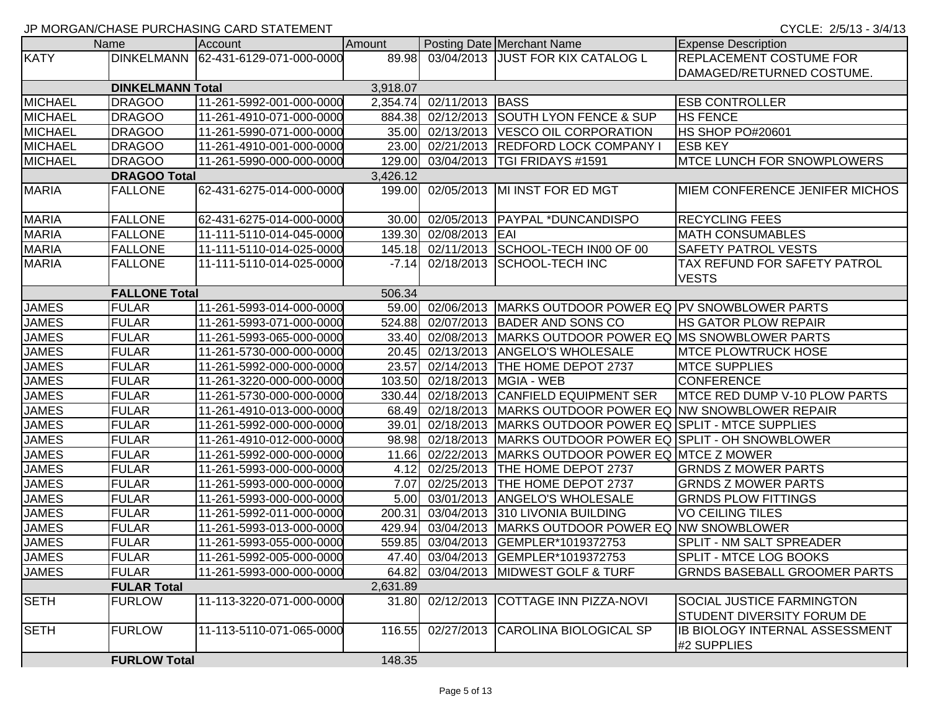|                |                         | <b>UNIVERSITY OF A STATE OF STATE OF A STATE OF A STATE OF A STATE OF A STATE OF A STATE OF A STATE OF A STATE OF</b> |          |                       |                                                              |                                               |
|----------------|-------------------------|-----------------------------------------------------------------------------------------------------------------------|----------|-----------------------|--------------------------------------------------------------|-----------------------------------------------|
|                | Name                    | <b>Account</b>                                                                                                        | Amount   |                       | Posting Date Merchant Name                                   | <b>Expense Description</b>                    |
| <b>KATY</b>    |                         | DINKELMANN 62-431-6129-071-000-0000                                                                                   |          |                       | 89.98 03/04/2013 JUST FOR KIX CATALOG L                      | <b>REPLACEMENT COSTUME FOR</b>                |
|                |                         |                                                                                                                       |          |                       |                                                              | DAMAGED/RETURNED COSTUME.                     |
|                | <b>DINKELMANN Total</b> |                                                                                                                       | 3,918.07 |                       |                                                              |                                               |
| <b>MICHAEL</b> | <b>DRAGOO</b>           | 11-261-5992-001-000-0000                                                                                              | 2,354.74 | 02/11/2013 BASS       |                                                              | <b>ESB CONTROLLER</b>                         |
| <b>MICHAEL</b> | <b>DRAGOO</b>           | 11-261-4910-071-000-0000                                                                                              | 884.38   |                       | 02/12/2013 SOUTH LYON FENCE & SUP                            | <b>HS FENCE</b>                               |
| <b>MICHAEL</b> | <b>DRAGOO</b>           | 11-261-5990-071-000-0000                                                                                              | 35.00    |                       | 02/13/2013  VESCO OIL CORPORATION                            | HS SHOP PO#20601                              |
| <b>MICHAEL</b> | <b>DRAGOO</b>           | 11-261-4910-001-000-0000                                                                                              | 23.00    |                       | 02/21/2013 REDFORD LOCK COMPANY                              | <b>ESB KEY</b>                                |
| <b>MICHAEL</b> | <b>DRAGOO</b>           | 11-261-5990-000-000-0000                                                                                              | 129.00   |                       | 03/04/2013   TGI FRIDAYS #1591                               | <b>IMTCE LUNCH FOR SNOWPLOWERS</b>            |
|                | <b>DRAGOO Total</b>     |                                                                                                                       | 3,426.12 |                       |                                                              |                                               |
| <b>MARIA</b>   | <b>FALLONE</b>          | 62-431-6275-014-000-0000                                                                                              |          |                       | 199.00 02/05/2013 MI INST FOR ED MGT                         | <b>MIEM CONFERENCE JENIFER MICHOS</b>         |
| <b>MARIA</b>   | <b>FALLONE</b>          | 62-431-6275-014-000-0000                                                                                              | 30.00    |                       | 02/05/2013 PAYPAL *DUNCANDISPO                               | <b>RECYCLING FEES</b>                         |
| <b>MARIA</b>   | <b>FALLONE</b>          | 11-111-5110-014-045-0000                                                                                              |          | 139.30 02/08/2013 EAI |                                                              | <b>MATH CONSUMABLES</b>                       |
| <b>MARIA</b>   | <b>FALLONE</b>          | 11-111-5110-014-025-0000                                                                                              |          |                       | 145.18 02/11/2013 SCHOOL-TECH IN00 OF 00                     | <b>SAFETY PATROL VESTS</b>                    |
| <b>MARIA</b>   | <b>FALLONE</b>          | 11-111-5110-014-025-0000                                                                                              | $-7.14$  |                       | 02/18/2013 SCHOOL-TECH INC                                   | TAX REFUND FOR SAFETY PATROL                  |
|                |                         |                                                                                                                       |          |                       |                                                              | <b>VESTS</b>                                  |
|                | <b>FALLONE Total</b>    |                                                                                                                       | 506.34   |                       |                                                              |                                               |
| <b>JAMES</b>   | <b>FULAR</b>            | 11-261-5993-014-000-0000                                                                                              |          |                       | 59.00 02/06/2013 MARKS OUTDOOR POWER EQ PV SNOWBLOWER PARTS  |                                               |
| <b>JAMES</b>   | <b>FULAR</b>            | 11-261-5993-071-000-0000                                                                                              | 524.88   |                       | 02/07/2013 BADER AND SONS CO                                 | <b>HS GATOR PLOW REPAIR</b>                   |
| <b>JAMES</b>   | <b>FULAR</b>            | 11-261-5993-065-000-0000                                                                                              | 33.40    |                       | 02/08/2013   MARKS OUTDOOR POWER EQ MS SNOWBLOWER PARTS      |                                               |
| <b>JAMES</b>   | <b>FULAR</b>            | 11-261-5730-000-000-0000                                                                                              |          |                       | 20.45 02/13/2013 ANGELO'S WHOLESALE                          | <b>MTCE PLOWTRUCK HOSE</b>                    |
| <b>JAMES</b>   | <b>FULAR</b>            | 11-261-5992-000-000-0000                                                                                              | 23.57    |                       | 02/14/2013  THE HOME DEPOT 2737                              | <b>MTCE SUPPLIES</b>                          |
| <b>JAMES</b>   | <b>FULAR</b>            | 11-261-3220-000-000-0000                                                                                              | 103.50   |                       | 02/18/2013   MGIA - WEB                                      | <b>CONFERENCE</b>                             |
| <b>JAMES</b>   | <b>FULAR</b>            | 11-261-5730-000-000-0000                                                                                              |          |                       | 330.44 02/18/2013 CANFIELD EQUIPMENT SER                     | <b>MTCE RED DUMP V-10 PLOW PARTS</b>          |
| <b>JAMES</b>   | <b>FULAR</b>            | 11-261-4910-013-000-0000                                                                                              |          |                       | 68.49 02/18/2013 MARKS OUTDOOR POWER EQ NW SNOWBLOWER REPAIR |                                               |
| <b>JAMES</b>   | <b>FULAR</b>            | 11-261-5992-000-000-0000                                                                                              | 39.01    |                       | 02/18/2013 MARKS OUTDOOR POWER EQ SPLIT - MTCE SUPPLIES      |                                               |
| <b>JAMES</b>   | <b>FULAR</b>            | 11-261-4910-012-000-0000                                                                                              | 98.98    |                       | 02/18/2013   MARKS OUTDOOR POWER EQ SPLIT - OH SNOWBLOWER    |                                               |
| <b>JAMES</b>   | <b>FULAR</b>            | 11-261-5992-000-000-0000                                                                                              | 11.66    |                       | 02/22/2013   MARKS OUTDOOR POWER EQ MTCE Z MOWER             |                                               |
| <b>JAMES</b>   | <b>FULAR</b>            | 11-261-5993-000-000-0000                                                                                              | 4.12     | 02/25/2013            | <b>THE HOME DEPOT 2737</b>                                   | <b>GRNDS Z MOWER PARTS</b>                    |
| <b>JAMES</b>   | <b>FULAR</b>            | 11-261-5993-000-000-0000                                                                                              | 7.07     | 02/25/2013            | <b>THE HOME DEPOT 2737</b>                                   | <b>GRNDS Z MOWER PARTS</b>                    |
| <b>JAMES</b>   | <b>FULAR</b>            | 11-261-5993-000-000-0000                                                                                              | 5.00     |                       | 03/01/2013 ANGELO'S WHOLESALE                                | <b>GRNDS PLOW FITTINGS</b>                    |
| <b>JAMES</b>   | <b>FULAR</b>            | 11-261-5992-011-000-0000                                                                                              | 200.31   |                       | 03/04/2013 310 LIVONIA BUILDING                              | <b>VO CEILING TILES</b>                       |
| <b>JAMES</b>   | <b>FULAR</b>            | 11-261-5993-013-000-0000                                                                                              | 429.94   |                       | 03/04/2013 MARKS OUTDOOR POWER EQ NW SNOWBLOWER              |                                               |
| <b>JAMES</b>   | <b>FULAR</b>            | 11-261-5993-055-000-0000                                                                                              | 559.85   |                       | 03/04/2013 GEMPLER*1019372753                                | <b>SPLIT - NM SALT SPREADER</b>               |
| <b>JAMES</b>   | FULAR                   | 11-261-5992-005-000-0000                                                                                              |          |                       | 47.40 03/04/2013 GEMPLER*1019372753                          | SPLIT - MTCE LOG BOOKS                        |
| <b>JAMES</b>   | <b>FULAR</b>            | 11-261-5993-000-000-0000                                                                                              |          |                       | 64.82 03/04/2013 MIDWEST GOLF & TURF                         | <b>GRNDS BASEBALL GROOMER PARTS</b>           |
|                | <b>FULAR Total</b>      |                                                                                                                       | 2,631.89 |                       |                                                              |                                               |
| <b>SETH</b>    | <b>FURLOW</b>           | 11-113-3220-071-000-0000                                                                                              |          |                       | 31.80 02/12/2013 COTTAGE INN PIZZA-NOVI                      | <b>SOCIAL JUSTICE FARMINGTON</b>              |
|                |                         |                                                                                                                       |          |                       |                                                              | <b>STUDENT DIVERSITY FORUM DE</b>             |
| <b>SETH</b>    | <b>FURLOW</b>           | 11-113-5110-071-065-0000                                                                                              | 116.55   |                       | 02/27/2013 CAROLINA BIOLOGICAL SP                            | IB BIOLOGY INTERNAL ASSESSMENT<br>#2 SUPPLIES |
|                | <b>FURLOW Total</b>     |                                                                                                                       | 148.35   |                       |                                                              |                                               |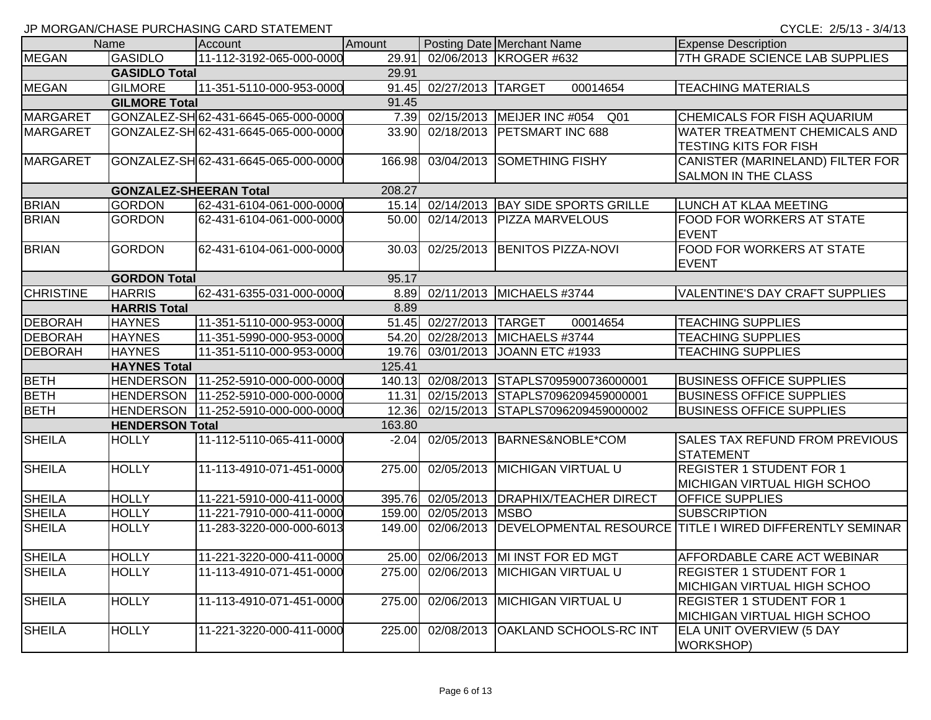|                  |                               | $\frac{1}{2}$ . Morton the state is contour to the state contribution of $\frac{1}{2}$ |         |                         |                                     |                                                                     |
|------------------|-------------------------------|----------------------------------------------------------------------------------------|---------|-------------------------|-------------------------------------|---------------------------------------------------------------------|
|                  | Name                          | Account                                                                                | Amount  |                         | Posting Date Merchant Name          | <b>Expense Description</b>                                          |
| <b>MEGAN</b>     | <b>GASIDLO</b>                | 11-112-3192-065-000-0000                                                               | 29.91   |                         | 02/06/2013 KROGER #632              | 7TH GRADE SCIENCE LAB SUPPLIES                                      |
|                  | <b>GASIDLO Total</b>          |                                                                                        | 29.91   |                         |                                     |                                                                     |
| <b>MEGAN</b>     | <b>GILMORE</b>                | 11-351-5110-000-953-0000                                                               | 91.45   | 02/27/2013 TARGET       | 00014654                            | <b>TEACHING MATERIALS</b>                                           |
|                  | <b>GILMORE Total</b>          |                                                                                        | 91.45   |                         |                                     |                                                                     |
| <b>MARGARET</b>  |                               | GONZALEZ-SH62-431-6645-065-000-0000                                                    |         |                         | 7.39 02/15/2013 MEIJER INC #054 Q01 | <b>CHEMICALS FOR FISH AQUARIUM</b>                                  |
| <b>MARGARET</b>  |                               | GONZALEZ-SH 62-431-6645-065-000-0000                                                   | 33.90   |                         | 02/18/2013 PETSMART INC 688         | <b>WATER TREATMENT CHEMICALS AND</b>                                |
|                  |                               |                                                                                        |         |                         |                                     | <b>TESTING KITS FOR FISH</b>                                        |
| MARGARET         |                               | GONZALEZ-SH 62-431-6645-065-000-0000                                                   | 166.98  |                         | 03/04/2013 SOMETHING FISHY          | CANISTER (MARINELAND) FILTER FOR                                    |
|                  |                               |                                                                                        |         |                         |                                     | <b>SALMON IN THE CLASS</b>                                          |
|                  | <b>GONZALEZ-SHEERAN Total</b> |                                                                                        | 208.27  |                         |                                     |                                                                     |
| <b>BRIAN</b>     | <b>GORDON</b>                 | 62-431-6104-061-000-0000                                                               | 15.14   |                         | 02/14/2013 BAY SIDE SPORTS GRILLE   | LUNCH AT KLAA MEETING                                               |
| <b>BRIAN</b>     | <b>GORDON</b>                 | 62-431-6104-061-000-0000                                                               | 50.00   |                         | 02/14/2013   PIZZA MARVELOUS        | FOOD FOR WORKERS AT STATE                                           |
|                  |                               |                                                                                        |         |                         |                                     | <b>EVENT</b>                                                        |
| <b>BRIAN</b>     | <b>GORDON</b>                 | 62-431-6104-061-000-0000                                                               | 30.03   |                         | 02/25/2013 BENITOS PIZZA-NOVI       | <b>FOOD FOR WORKERS AT STATE</b>                                    |
|                  |                               |                                                                                        |         |                         |                                     | <b>EVENT</b>                                                        |
|                  | <b>GORDON Total</b>           |                                                                                        | 95.17   |                         |                                     |                                                                     |
| <b>CHRISTINE</b> | <b>HARRIS</b>                 | 62-431-6355-031-000-0000                                                               |         |                         | 8.89 02/11/2013 MICHAELS #3744      | <b>VALENTINE'S DAY CRAFT SUPPLIES</b>                               |
|                  | <b>HARRIS Total</b>           |                                                                                        | 8.89    |                         |                                     |                                                                     |
| <b>DEBORAH</b>   | <b>HAYNES</b>                 | 11-351-5110-000-953-0000                                                               |         | 51.45 02/27/2013 TARGET | 00014654                            | <b>TEACHING SUPPLIES</b>                                            |
| <b>DEBORAH</b>   | <b>HAYNES</b>                 | 11-351-5990-000-953-0000                                                               | 54.20   |                         | 02/28/2013 MICHAELS #3744           | <b>TEACHING SUPPLIES</b>                                            |
| <b>DEBORAH</b>   | <b>HAYNES</b>                 | 11-351-5110-000-953-0000                                                               | 19.76   |                         | 03/01/2013 JOANN ETC #1933          | <b>TEACHING SUPPLIES</b>                                            |
|                  | <b>HAYNES Total</b>           |                                                                                        | 125.41  |                         |                                     |                                                                     |
| <b>BETH</b>      |                               | HENDERSON   11-252-5910-000-000-0000                                                   | 140.13  |                         | 02/08/2013 STAPLS7095900736000001   | <b>BUSINESS OFFICE SUPPLIES</b>                                     |
| <b>BETH</b>      |                               | HENDERSON   11-252-5910-000-000-0000                                                   | 11.31   |                         | 02/15/2013 STAPLS7096209459000001   | <b>BUSINESS OFFICE SUPPLIES</b>                                     |
| <b>BETH</b>      |                               | HENDERSON   11-252-5910-000-000-0000                                                   | 12.36   |                         | 02/15/2013 STAPLS7096209459000002   | <b>BUSINESS OFFICE SUPPLIES</b>                                     |
|                  | <b>HENDERSON Total</b>        |                                                                                        | 163.80  |                         |                                     |                                                                     |
| <b>SHEILA</b>    | <b>HOLLY</b>                  | 11-112-5110-065-411-0000                                                               | $-2.04$ |                         | 02/05/2013 BARNES&NOBLE*COM         | <b>SALES TAX REFUND FROM PREVIOUS</b>                               |
|                  |                               |                                                                                        |         |                         |                                     | <b>STATEMENT</b>                                                    |
| <b>SHEILA</b>    | <b>HOLLY</b>                  | 11-113-4910-071-451-0000                                                               | 275.00  |                         | 02/05/2013 MICHIGAN VIRTUAL U       | <b>REGISTER 1 STUDENT FOR 1</b>                                     |
|                  |                               |                                                                                        |         |                         |                                     | <b>MICHIGAN VIRTUAL HIGH SCHOO</b>                                  |
| <b>SHEILA</b>    | <b>HOLLY</b>                  | 11-221-5910-000-411-0000                                                               | 395.76  |                         | 02/05/2013 DRAPHIX/TEACHER DIRECT   | <b>OFFICE SUPPLIES</b>                                              |
| <b>SHEILA</b>    | <b>HOLLY</b>                  | 11-221-7910-000-411-0000                                                               | 159.00  | 02/05/2013 MSBO         |                                     | <b>SUBSCRIPTION</b>                                                 |
| <b>SHEILA</b>    | <b>HOLLY</b>                  | 11-283-3220-000-000-6013                                                               | 149.00  |                         |                                     | 02/06/2013 DEVELOPMENTAL RESOURCE TITLE I WIRED DIFFERENTLY SEMINAR |
|                  |                               |                                                                                        |         |                         |                                     |                                                                     |
| <b>SHEILA</b>    | <b>HOLLY</b>                  | 11-221-3220-000-411-0000                                                               |         |                         | 25.00 02/06/2013 MI INST FOR ED MGT | <b>AFFORDABLE CARE ACT WEBINAR</b>                                  |
| <b>SHEILA</b>    | <b>HOLLY</b>                  | 11-113-4910-071-451-0000                                                               | 275.00  |                         | 02/06/2013 MICHIGAN VIRTUAL U       | <b>REGISTER 1 STUDENT FOR 1</b>                                     |
|                  |                               |                                                                                        |         |                         |                                     | MICHIGAN VIRTUAL HIGH SCHOO                                         |
| <b>SHEILA</b>    | <b>HOLLY</b>                  | 11-113-4910-071-451-0000                                                               | 275.00  |                         | 02/06/2013 MICHIGAN VIRTUAL U       | <b>REGISTER 1 STUDENT FOR 1</b>                                     |
|                  |                               |                                                                                        |         |                         |                                     | MICHIGAN VIRTUAL HIGH SCHOO                                         |
| <b>SHEILA</b>    | <b>HOLLY</b>                  | 11-221-3220-000-411-0000                                                               | 225.00  | 02/08/2013              | OAKLAND SCHOOLS-RC INT              | <b>ELA UNIT OVERVIEW (5 DAY</b>                                     |
|                  |                               |                                                                                        |         |                         |                                     | <b>WORKSHOP)</b>                                                    |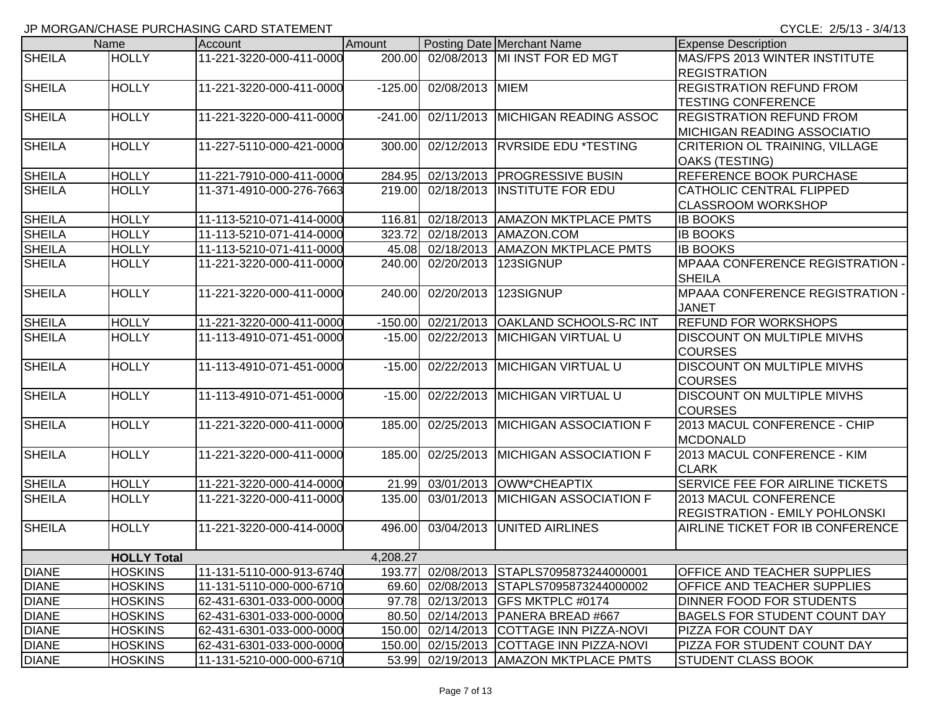|               | Name               | Account                   | Amount    |                 | Posting Date Merchant Name               | <b>Expense Description</b>                                            |
|---------------|--------------------|---------------------------|-----------|-----------------|------------------------------------------|-----------------------------------------------------------------------|
| <b>SHEILA</b> | <b>HOLLY</b>       | 11-221-3220-000-411-0000  | 200.00    |                 | 02/08/2013 MI INST FOR ED MGT            | MAS/FPS 2013 WINTER INSTITUTE<br><b>REGISTRATION</b>                  |
| <b>SHEILA</b> | <b>HOLLY</b>       | 11-221-3220-000-411-0000  | $-125.00$ | 02/08/2013 MIEM |                                          | <b>REGISTRATION REFUND FROM</b><br><b>TESTING CONFERENCE</b>          |
| <b>SHEILA</b> | <b>HOLLY</b>       | 11-221-3220-000-411-0000  | $-241.00$ |                 | 02/11/2013 MICHIGAN READING ASSOC        | <b>REGISTRATION REFUND FROM</b><br><b>MICHIGAN READING ASSOCIATIO</b> |
| <b>SHEILA</b> | <b>HOLLY</b>       | 11-227-5110-000-421-0000  | 300.00    |                 | 02/12/2013 RVRSIDE EDU *TESTING          | CRITERION OL TRAINING, VILLAGE<br><b>OAKS (TESTING)</b>               |
| <b>SHEILA</b> | <b>HOLLY</b>       | 11-221-7910-000-411-0000  | 284.95    |                 | 02/13/2013 PROGRESSIVE BUSIN             | REFERENCE BOOK PURCHASE                                               |
| <b>SHEILA</b> | <b>HOLLY</b>       | 11-371-4910-000-276-7663  | 219.00    |                 | 02/18/2013 INSTITUTE FOR EDU             | CATHOLIC CENTRAL FLIPPED<br><b>CLASSROOM WORKSHOP</b>                 |
| <b>SHEILA</b> | <b>HOLLY</b>       | 11-113-5210-071-414-0000  | 116.81    |                 | 02/18/2013   AMAZON MKTPLACE PMTS        | <b>IB BOOKS</b>                                                       |
| <b>SHEILA</b> | <b>HOLLY</b>       | 11-113-5210-071-414-0000  | 323.72    |                 | 02/18/2013   AMAZON.COM                  | <b>IB BOOKS</b>                                                       |
| <b>SHEILA</b> | <b>HOLLY</b>       | 11-113-5210-071-411-0000  | 45.08     |                 | 02/18/2013 AMAZON MKTPLACE PMTS          | <b>IB BOOKS</b>                                                       |
| <b>SHEILA</b> | <b>HOLLY</b>       | 11-221-3220-000-411-0000  | 240.00    |                 | 02/20/2013 123SIGNUP                     | <b>MPAAA CONFERENCE REGISTRATION -</b><br><b>SHEILA</b>               |
| <b>SHEILA</b> | <b>HOLLY</b>       | 11-221-3220-000-411-0000  | 240.00    |                 | 02/20/2013 123SIGNUP                     | <b>MPAAA CONFERENCE REGISTRATION -</b><br><b>JANET</b>                |
| <b>SHEILA</b> | <b>HOLLY</b>       | 11-221-3220-000-411-0000  | $-150.00$ |                 | 02/21/2013 OAKLAND SCHOOLS-RC INT        | <b>REFUND FOR WORKSHOPS</b>                                           |
| <b>SHEILA</b> | <b>HOLLY</b>       | 11-113-4910-071-451-0000  | $-15.00$  |                 | 02/22/2013 MICHIGAN VIRTUAL U            | <b>DISCOUNT ON MULTIPLE MIVHS</b><br><b>COURSES</b>                   |
| <b>SHEILA</b> | <b>HOLLY</b>       | 11-113-4910-071-451-0000  | $-15.00$  |                 | 02/22/2013 MICHIGAN VIRTUAL U            | <b>DISCOUNT ON MULTIPLE MIVHS</b><br><b>COURSES</b>                   |
| <b>SHEILA</b> | <b>HOLLY</b>       | 11-113-4910-071-451-0000  | $-15.00$  |                 | 02/22/2013 MICHIGAN VIRTUAL U            | <b>DISCOUNT ON MULTIPLE MIVHS</b><br><b>COURSES</b>                   |
| <b>SHEILA</b> | <b>HOLLY</b>       | 11-221-3220-000-411-0000  | 185.00    |                 | 02/25/2013 MICHIGAN ASSOCIATION F        | 2013 MACUL CONFERENCE - CHIP<br><b>MCDONALD</b>                       |
| <b>SHEILA</b> | <b>HOLLY</b>       | 11-221-3220-000-411-0000  | 185.00    |                 | 02/25/2013 MICHIGAN ASSOCIATION F        | 2013 MACUL CONFERENCE - KIM<br><b>CLARK</b>                           |
| <b>SHEILA</b> | <b>HOLLY</b>       | 11-221-3220-000-414-0000  | 21.99     |                 | 03/01/2013 OWW*CHEAPTIX                  | <b>SERVICE FEE FOR AIRLINE TICKETS</b>                                |
| <b>SHEILA</b> | <b>HOLLY</b>       | 11-221-3220-000-411-0000  | 135.00    |                 | 03/01/2013 MICHIGAN ASSOCIATION F        | 2013 MACUL CONFERENCE<br><b>REGISTRATION - EMILY POHLONSKI</b>        |
| <b>SHEILA</b> | <b>HOLLY</b>       | 11-221-3220-000-414-0000  | 496.00    |                 | 03/04/2013 UNITED AIRLINES               | AIRLINE TICKET FOR IB CONFERENCE                                      |
|               | <b>HOLLY Total</b> |                           | 4,208.27  |                 |                                          |                                                                       |
| <b>DIANE</b>  | <b>HOSKINS</b>     | 11-131-5110-000-913-6740  | 193.77    |                 | 02/08/2013 STAPLS7095873244000001        | <b>OFFICE AND TEACHER SUPPLIES</b>                                    |
| <b>DIANE</b>  | HOSKINS            | 11-131-5110-000-000-6710  | 69.60     |                 | 02/08/2013 STAPLS7095873244000002        | <b>OFFICE AND TEACHER SUPPLIES</b>                                    |
| <b>DIANE</b>  | HOSKINS            | 62-431-6301-033-000-0000  | 97.78     |                 | 02/13/2013 GFS MKTPLC #0174              | DINNER FOOD FOR STUDENTS                                              |
| <b>DIANE</b>  | HOSKINS            | 62-431-6301-033-000-0000  | 80.50     |                 | 02/14/2013 PANERA BREAD #667             | <b>BAGELS FOR STUDENT COUNT DAY</b>                                   |
| <b>DIANE</b>  | <b>HOSKINS</b>     | 62-431-6301-033-000-0000  |           |                 | 150.00 02/14/2013 COTTAGE INN PIZZA-NOVI | PIZZA FOR COUNT DAY                                                   |
| <b>DIANE</b>  | <b>HOSKINS</b>     | 62-431-6301-033-000-0000  |           |                 | 150.00 02/15/2013 COTTAGE INN PIZZA-NOVI | PIZZA FOR STUDENT COUNT DAY                                           |
| <b>DIANE</b>  | <b>HOSKINS</b>     | 111-131-5210-000-000-6710 |           |                 | 53.99 02/19/2013 AMAZON MKTPLACE PMTS    | ISTUDENT CLASS BOOK                                                   |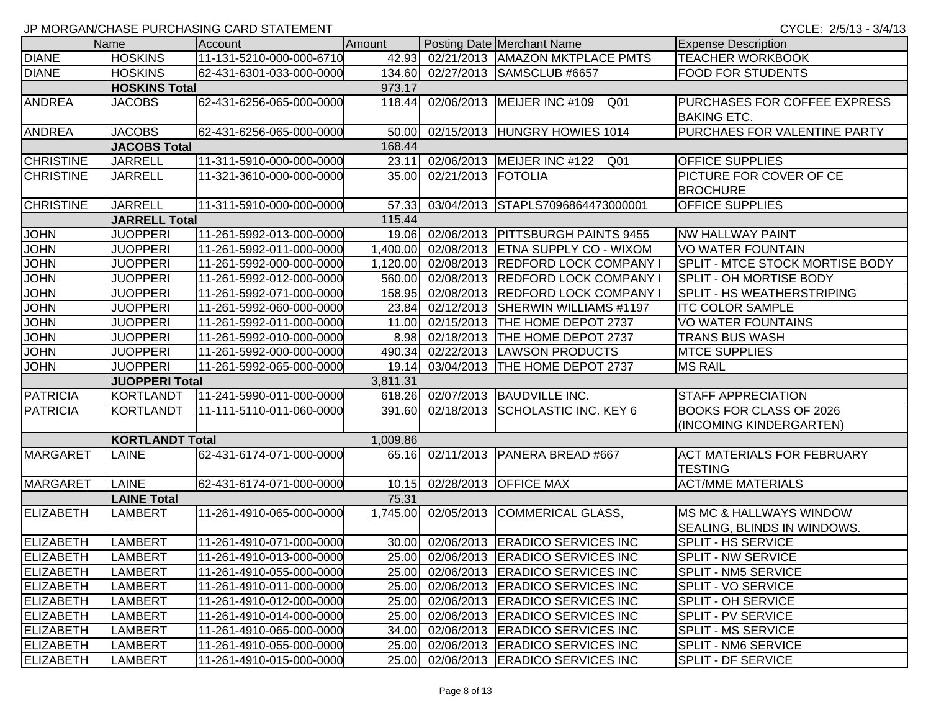CYCLE: 2/5/13 - 3/4/13

|                  | Name                   | Account                  | Amount   |                    | Posting Date Merchant Name                 | <b>Expense Description</b>         |
|------------------|------------------------|--------------------------|----------|--------------------|--------------------------------------------|------------------------------------|
| <b>DIANE</b>     | <b>HOSKINS</b>         | 11-131-5210-000-000-6710 | 42.93    |                    | 02/21/2013   AMAZON MKTPLACE PMTS          | <b>TEACHER WORKBOOK</b>            |
| <b>DIANE</b>     | <b>HOSKINS</b>         | 62-431-6301-033-000-0000 | 134.60   |                    | 02/27/2013 SAMSCLUB #6657                  | <b>FOOD FOR STUDENTS</b>           |
|                  | <b>HOSKINS Total</b>   |                          | 973.17   |                    |                                            |                                    |
| <b>ANDREA</b>    | <b>JACOBS</b>          | 62-431-6256-065-000-0000 | 118.44   |                    | 02/06/2013 MEIJER INC #109<br>Q01          | PURCHASES FOR COFFEE EXPRESS       |
|                  |                        |                          |          |                    |                                            | <b>BAKING ETC.</b>                 |
| <b>ANDREA</b>    | <b>JACOBS</b>          | 62-431-6256-065-000-0000 | 50.00    |                    | 02/15/2013 HUNGRY HOWIES 1014              | PURCHAES FOR VALENTINE PARTY       |
|                  | <b>JACOBS Total</b>    |                          | 168.44   |                    |                                            |                                    |
| <b>CHRISTINE</b> | <b>JARRELL</b>         | 11-311-5910-000-000-0000 | 23.11    |                    | 02/06/2013 MEIJER INC #122<br>Q01          | OFFICE SUPPLIES                    |
| <b>CHRISTINE</b> | <b>JARRELL</b>         | 11-321-3610-000-000-0000 | 35.00    | 02/21/2013 FOTOLIA |                                            | <b>PICTURE FOR COVER OF CE</b>     |
|                  |                        |                          |          |                    |                                            | <b>BROCHURE</b>                    |
| <b>CHRISTINE</b> | <b>JARRELL</b>         | 11-311-5910-000-000-0000 | 57.33    |                    | 03/04/2013 STAPLS7096864473000001          | <b>OFFICE SUPPLIES</b>             |
|                  | <b>JARRELL Total</b>   |                          | 115.44   |                    |                                            |                                    |
| <b>JOHN</b>      | <b>JUOPPERI</b>        | 11-261-5992-013-000-0000 | 19.06    |                    | 02/06/2013   PITTSBURGH PAINTS 9455        | <b>NW HALLWAY PAINT</b>            |
| <b>JOHN</b>      | <b>JUOPPERI</b>        | 11-261-5992-011-000-0000 |          |                    | 1,400.00 02/08/2013 ETNA SUPPLY CO - WIXOM | <b>VO WATER FOUNTAIN</b>           |
| <b>JOHN</b>      | <b>JUOPPERI</b>        | 11-261-5992-000-000-0000 | 1,120.00 |                    | 02/08/2013 REDFORD LOCK COMPANY            | SPLIT - MTCE STOCK MORTISE BODY    |
| <b>JOHN</b>      | <b>JUOPPERI</b>        | 11-261-5992-012-000-0000 | 560.00   |                    | 02/08/2013 REDFORD LOCK COMPANY            | <b>SPLIT - OH MORTISE BODY</b>     |
| <b>JOHN</b>      | <b>JUOPPERI</b>        | 11-261-5992-071-000-0000 | 158.95   |                    | 02/08/2013 REDFORD LOCK COMPANY            | <b>SPLIT - HS WEATHERSTRIPING</b>  |
| <b>JOHN</b>      | <b>JUOPPERI</b>        | 11-261-5992-060-000-0000 | 23.84    |                    | 02/12/2013 SHERWIN WILLIAMS #1197          | <b>ITC COLOR SAMPLE</b>            |
| <b>JOHN</b>      | <b>JUOPPERI</b>        | 11-261-5992-011-000-0000 | 11.00    |                    | 02/15/2013 THE HOME DEPOT 2737             | <b>VO WATER FOUNTAINS</b>          |
| <b>JOHN</b>      | <b>JUOPPERI</b>        | 11-261-5992-010-000-0000 | 8.98     |                    | 02/18/2013 THE HOME DEPOT 2737             | <b>TRANS BUS WASH</b>              |
| <b>JOHN</b>      | <b>JUOPPERI</b>        | 11-261-5992-000-000-0000 | 490.34   |                    | 02/22/2013 LAWSON PRODUCTS                 | <b>MTCE SUPPLIES</b>               |
| <b>JOHN</b>      | <b>JUOPPERI</b>        | 11-261-5992-065-000-0000 | 19.14    |                    | 03/04/2013  THE HOME DEPOT 2737            | <b>MS RAIL</b>                     |
|                  | <b>JUOPPERI Total</b>  |                          | 3,811.31 |                    |                                            |                                    |
| <b>PATRICIA</b>  | KORTLANDT              | 11-241-5990-011-000-0000 | 618.26   |                    | 02/07/2013 BAUDVILLE INC.                  | <b>STAFF APPRECIATION</b>          |
| <b>PATRICIA</b>  | KORTLANDT              | 11-111-5110-011-060-0000 | 391.60   |                    | 02/18/2013 SCHOLASTIC INC. KEY 6           | <b>BOOKS FOR CLASS OF 2026</b>     |
|                  |                        |                          |          |                    |                                            | (INCOMING KINDERGARTEN)            |
|                  | <b>KORTLANDT Total</b> |                          | 1,009.86 |                    |                                            |                                    |
| <b>MARGARET</b>  | <b>LAINE</b>           | 62-431-6174-071-000-0000 | 65.16    |                    | 02/11/2013 PANERA BREAD #667               | <b>ACT MATERIALS FOR FEBRUARY</b>  |
|                  |                        |                          |          |                    |                                            | <b>TESTING</b>                     |
| <b>MARGARET</b>  | <b>LAINE</b>           | 62-431-6174-071-000-0000 | 10.15    |                    | 02/28/2013 OFFICE MAX                      | <b>ACT/MME MATERIALS</b>           |
|                  | <b>LAINE Total</b>     |                          | 75.31    |                    |                                            |                                    |
| <b>ELIZABETH</b> | <b>LAMBERT</b>         | 11-261-4910-065-000-0000 | 1,745.00 |                    | 02/05/2013 COMMERICAL GLASS,               | <b>MS MC &amp; HALLWAYS WINDOW</b> |
|                  |                        |                          |          |                    |                                            | SEALING, BLINDS IN WINDOWS.        |
| ELIZABETH        | <b>LAMBERT</b>         | 11-261-4910-071-000-0000 | 30.00    |                    | 02/06/2013 ERADICO SERVICES INC            | SPLIT - HS SERVICE                 |
| ELIZABETH        | LAMBERT                | 11-261-4910-013-000-0000 |          |                    | 25.00 02/06/2013 ERADICO SERVICES INC      | SPLIT - NW SERVICE                 |
| <b>ELIZABETH</b> | LAMBERT                | 11-261-4910-055-000-0000 | 25.00    |                    | 02/06/2013 ERADICO SERVICES INC            | SPLIT - NM5 SERVICE                |
| <b>ELIZABETH</b> | <b>LAMBERT</b>         | 11-261-4910-011-000-0000 | 25.00    |                    | 02/06/2013 ERADICO SERVICES INC            | <b>SPLIT - VO SERVICE</b>          |
| <b>ELIZABETH</b> | LAMBERT                | 11-261-4910-012-000-0000 | 25.00    |                    | 02/06/2013 ERADICO SERVICES INC            | SPLIT - OH SERVICE                 |
| <b>ELIZABETH</b> | <b>LAMBERT</b>         | 11-261-4910-014-000-0000 | 25.00    |                    | 02/06/2013 ERADICO SERVICES INC            | <b>SPLIT - PV SERVICE</b>          |
| <b>ELIZABETH</b> | <b>LAMBERT</b>         | 11-261-4910-065-000-0000 | 34.00    |                    | 02/06/2013 ERADICO SERVICES INC            | <b>SPLIT - MS SERVICE</b>          |
| <b>ELIZABETH</b> | LAMBERT                | 11-261-4910-055-000-0000 | 25.00    |                    | 02/06/2013 ERADICO SERVICES INC            | SPLIT - NM6 SERVICE                |
| <b>ELIZABETH</b> | <b>LAMBERT</b>         | 11-261-4910-015-000-0000 |          |                    | 25.00 02/06/2013 ERADICO SERVICES INC      | <b>SPLIT - DF SERVICE</b>          |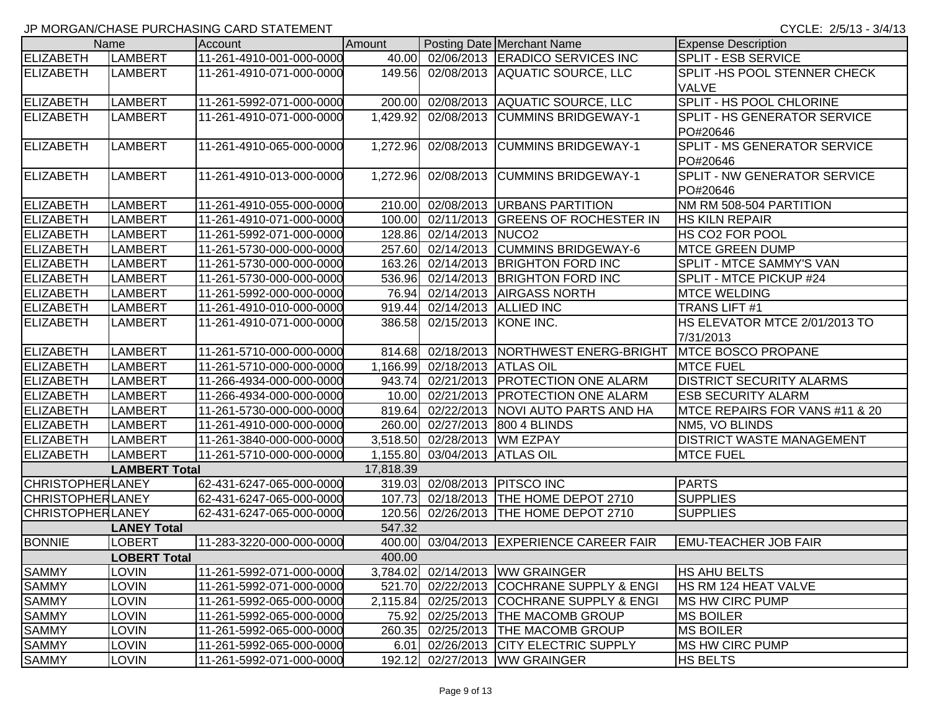|                         | Name                 | Account                  | Amount    |                       | Posting Date Merchant Name          | <b>Expense Description</b>          |
|-------------------------|----------------------|--------------------------|-----------|-----------------------|-------------------------------------|-------------------------------------|
| <b>ELIZABETH</b>        | <b>LAMBERT</b>       | 11-261-4910-001-000-0000 | 40.00     |                       | 02/06/2013 ERADICO SERVICES INC     | <b>SPLIT - ESB SERVICE</b>          |
| <b>ELIZABETH</b>        | <b>LAMBERT</b>       | 11-261-4910-071-000-0000 | 149.56    |                       | 02/08/2013 AQUATIC SOURCE, LLC      | SPLIT-HS POOL STENNER CHECK         |
|                         |                      |                          |           |                       |                                     | <b>VALVE</b>                        |
| <b>ELIZABETH</b>        | <b>LAMBERT</b>       | 11-261-5992-071-000-0000 | 200.00    |                       | 02/08/2013 AQUATIC SOURCE, LLC      | SPLIT - HS POOL CHLORINE            |
| ELIZABETH               | <b>LAMBERT</b>       | 11-261-4910-071-000-0000 | 1,429.92  |                       | 02/08/2013 CUMMINS BRIDGEWAY-1      | <b>SPLIT - HS GENERATOR SERVICE</b> |
|                         |                      |                          |           |                       |                                     | PO#20646                            |
| <b>ELIZABETH</b>        | LAMBERT              | 11-261-4910-065-000-0000 | 1,272.96  |                       | 02/08/2013 CUMMINS BRIDGEWAY-1      | SPLIT - MS GENERATOR SERVICE        |
|                         |                      |                          |           |                       |                                     | PO#20646                            |
| <b>ELIZABETH</b>        | <b>LAMBERT</b>       | 11-261-4910-013-000-0000 | 1,272.96  |                       | 02/08/2013 CUMMINS BRIDGEWAY-1      | SPLIT - NW GENERATOR SERVICE        |
|                         |                      |                          |           |                       |                                     | PO#20646                            |
| <b>ELIZABETH</b>        | <b>LAMBERT</b>       | 11-261-4910-055-000-0000 | 210.00    |                       | 02/08/2013   URBANS PARTITION       | NM RM 508-504 PARTITION             |
| <b>ELIZABETH</b>        | <b>LAMBERT</b>       | 11-261-4910-071-000-0000 | 100.00    |                       | 02/11/2013 GREENS OF ROCHESTER IN   | <b>HS KILN REPAIR</b>               |
| <b>ELIZABETH</b>        | <b>LAMBERT</b>       | 11-261-5992-071-000-0000 | 128.86    | 02/14/2013 NUCO2      |                                     | HS CO2 FOR POOL                     |
| <b>ELIZABETH</b>        | <b>LAMBERT</b>       | 11-261-5730-000-000-0000 | 257.60    |                       | 02/14/2013 CUMMINS BRIDGEWAY-6      | <b>MTCE GREEN DUMP</b>              |
| <b>ELIZABETH</b>        | <b>LAMBERT</b>       | 11-261-5730-000-000-0000 | 163.26    |                       | 02/14/2013 BRIGHTON FORD INC        | SPLIT - MTCE SAMMY'S VAN            |
| <b>ELIZABETH</b>        | <b>LAMBERT</b>       | 11-261-5730-000-000-0000 | 536.96    |                       | 02/14/2013 BRIGHTON FORD INC        | SPLIT - MTCE PICKUP #24             |
| <b>ELIZABETH</b>        | <b>LAMBERT</b>       | 11-261-5992-000-000-0000 | 76.94     |                       | 02/14/2013 AIRGASS NORTH            | <b>MTCE WELDING</b>                 |
| <b>ELIZABETH</b>        | <b>LAMBERT</b>       | 11-261-4910-010-000-0000 | 919.44    |                       | 02/14/2013 ALLIED INC               | TRANS LIFT #1                       |
| <b>ELIZABETH</b>        | <b>LAMBERT</b>       | 11-261-4910-071-000-0000 | 386.58    | 02/15/2013 KONE INC.  |                                     | HS ELEVATOR MTCE 2/01/2013 TO       |
|                         |                      |                          |           |                       |                                     | 7/31/2013                           |
| <b>ELIZABETH</b>        | <b>LAMBERT</b>       | 11-261-5710-000-000-0000 | 814.68    |                       | 02/18/2013 NORTHWEST ENERG-BRIGHT   | <b>IMTCE BOSCO PROPANE</b>          |
| <b>ELIZABETH</b>        | <b>LAMBERT</b>       | 11-261-5710-000-000-0000 | 1,166.99  | 02/18/2013 ATLAS OIL  |                                     | <b>MTCE FUEL</b>                    |
| <b>ELIZABETH</b>        | <b>LAMBERT</b>       | 11-266-4934-000-000-0000 | 943.74    |                       | 02/21/2013   PROTECTION ONE ALARM   | <b>DISTRICT SECURITY ALARMS</b>     |
| <b>ELIZABETH</b>        | <b>LAMBERT</b>       | 11-266-4934-000-000-0000 | 10.00     |                       | 02/21/2013   PROTECTION ONE ALARM   | <b>ESB SECURITY ALARM</b>           |
| <b>ELIZABETH</b>        | <b>LAMBERT</b>       | 11-261-5730-000-000-0000 | 819.64    |                       | 02/22/2013   NOVI AUTO PARTS AND HA | MTCE REPAIRS FOR VANS #11 & 20      |
| <b>ELIZABETH</b>        | <b>LAMBERT</b>       | 11-261-4910-000-000-0000 | 260.00    |                       | 02/27/2013 800 4 BLINDS             | NM5, VO BLINDS                      |
| <b>ELIZABETH</b>        | <b>LAMBERT</b>       | 11-261-3840-000-000-0000 | 3,518.50  | 02/28/2013   WM EZPAY |                                     | <b>DISTRICT WASTE MANAGEMENT</b>    |
| <b>ELIZABETH</b>        | <b>LAMBERT</b>       | 11-261-5710-000-000-0000 | 1,155.80  | 03/04/2013 ATLAS OIL  |                                     | <b>MTCE FUEL</b>                    |
|                         | <b>LAMBERT Total</b> |                          | 17,818.39 |                       |                                     |                                     |
| <b>CHRISTOPHERLANEY</b> |                      | 62-431-6247-065-000-0000 | 319.03    |                       | 02/08/2013 PITSCO INC               | <b>PARTS</b>                        |
| <b>CHRISTOPHERLANEY</b> |                      | 62-431-6247-065-000-0000 | 107.73    |                       | 02/18/2013 THE HOME DEPOT 2710      | <b>SUPPLIES</b>                     |
| <b>CHRISTOPHERLANEY</b> |                      | 62-431-6247-065-000-0000 | 120.56    |                       | 02/26/2013  THE HOME DEPOT 2710     | <b>SUPPLIES</b>                     |
|                         | <b>LANEY Total</b>   |                          | 547.32    |                       |                                     |                                     |
| <b>BONNIE</b>           | LOBERT               | 11-283-3220-000-000-0000 | 400.00    |                       | 03/04/2013 EXPERIENCE CAREER FAIR   | <b>EMU-TEACHER JOB FAIR</b>         |
|                         | <b>LOBERT Total</b>  |                          | 400.00    |                       |                                     |                                     |
| <b>SAMMY</b>            | <b>LOVIN</b>         | 11-261-5992-071-000-0000 | 3,784.02  |                       | 02/14/2013 WW GRAINGER              | <b>HS AHU BELTS</b>                 |
| <b>SAMMY</b>            | LOVIN                | 11-261-5992-071-000-0000 | 521.70    |                       | 02/22/2013 COCHRANE SUPPLY & ENGI   | <b>HS RM 124 HEAT VALVE</b>         |
| <b>SAMMY</b>            | LOVIN                | 11-261-5992-065-000-0000 | 2,115.84  |                       | 02/25/2013 COCHRANE SUPPLY & ENGI   | <b>MS HW CIRC PUMP</b>              |
| <b>SAMMY</b>            | LOVIN                | 11-261-5992-065-000-0000 | 75.92     |                       | 02/25/2013  THE MACOMB GROUP        | <b>MS BOILER</b>                    |
| <b>SAMMY</b>            | LOVIN                | 11-261-5992-065-000-0000 | 260.35    |                       | 02/25/2013 THE MACOMB GROUP         | <b>MS BOILER</b>                    |
| <b>SAMMY</b>            | LOVIN                | 11-261-5992-065-000-0000 | 6.01      |                       | 02/26/2013 CITY ELECTRIC SUPPLY     | <b>MS HW CIRC PUMP</b>              |
| <b>SAMMY</b>            | <b>LOVIN</b>         | 11-261-5992-071-000-0000 | 192.12    |                       | 02/27/2013 WW GRAINGER              | <b>HS BELTS</b>                     |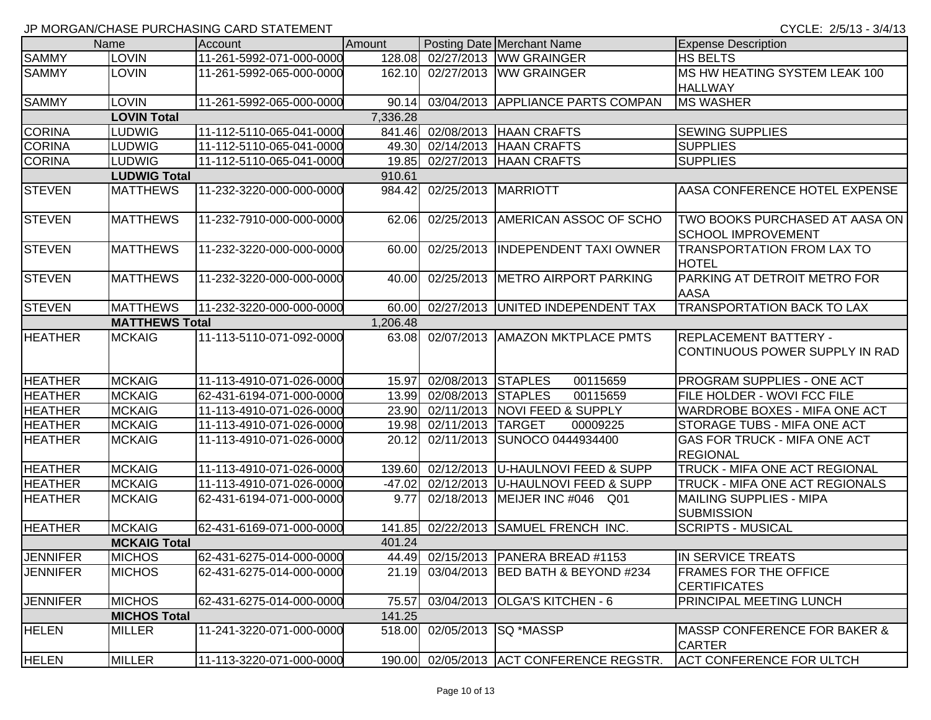|                 |                       | JP MORGAN/CHASE PURCHASING CARD STATEMENT |          |                             |                                          | CYCLE: 2/5/13 - 3/4/13                                         |
|-----------------|-----------------------|-------------------------------------------|----------|-----------------------------|------------------------------------------|----------------------------------------------------------------|
|                 | Name                  | Account                                   | Amount   |                             | <b>Posting Date Merchant Name</b>        | <b>Expense Description</b>                                     |
| <b>SAMMY</b>    | <b>LOVIN</b>          | 11-261-5992-071-000-0000                  | 128.08   |                             | 02/27/2013 WW GRAINGER                   | <b>HS BELTS</b>                                                |
| <b>SAMMY</b>    | LOVIN                 | 11-261-5992-065-000-0000                  | 162.10   | 02/27/2013                  | <b>WW GRAINGER</b>                       | MS HW HEATING SYSTEM LEAK 100                                  |
|                 |                       |                                           |          |                             |                                          | <b>HALLWAY</b>                                                 |
| <b>SAMMY</b>    | <b>LOVIN</b>          | 11-261-5992-065-000-0000                  | 90.14    |                             | 03/04/2013 APPLIANCE PARTS COMPAN        | <b>MS WASHER</b>                                               |
|                 | <b>LOVIN Total</b>    |                                           | 7,336.28 |                             |                                          |                                                                |
| <b>CORINA</b>   | LUDWIG                | 11-112-5110-065-041-0000                  |          |                             | 841.46 02/08/2013 HAAN CRAFTS            | <b>SEWING SUPPLIES</b>                                         |
| <b>CORINA</b>   | <b>LUDWIG</b>         | 11-112-5110-065-041-0000                  | 49.30    |                             | 02/14/2013 HAAN CRAFTS                   | <b>SUPPLIES</b>                                                |
| <b>CORINA</b>   | <b>LUDWIG</b>         | 11-112-5110-065-041-0000                  |          |                             | 19.85 02/27/2013 HAAN CRAFTS             | <b>SUPPLIES</b>                                                |
|                 | <b>LUDWIG Total</b>   |                                           | 910.61   |                             |                                          |                                                                |
| <b>STEVEN</b>   | <b>MATTHEWS</b>       | 11-232-3220-000-000-0000                  | 984.42   | 02/25/2013                  | MARRIOTT                                 | AASA CONFERENCE HOTEL EXPENSE                                  |
| <b>STEVEN</b>   | <b>MATTHEWS</b>       | 11-232-7910-000-000-0000                  | 62.06    | 02/25/2013                  | <b>AMERICAN ASSOC OF SCHO</b>            | TWO BOOKS PURCHASED AT AASA ON<br><b>SCHOOL IMPROVEMENT</b>    |
| <b>STEVEN</b>   | <b>MATTHEWS</b>       | 11-232-3220-000-000-0000                  | 60.00    | 02/25/2013                  | <b>INDEPENDENT TAXI OWNER</b>            | <b>TRANSPORTATION FROM LAX TO</b><br><b>HOTEL</b>              |
| <b>STEVEN</b>   | <b>MATTHEWS</b>       | 11-232-3220-000-000-0000                  | 40.00    | 02/25/2013                  | <b>METRO AIRPORT PARKING</b>             | PARKING AT DETROIT METRO FOR<br><b>AASA</b>                    |
| <b>STEVEN</b>   | <b>MATTHEWS</b>       | 11-232-3220-000-000-0000                  | 60.00    |                             | 02/27/2013 UNITED INDEPENDENT TAX        | TRANSPORTATION BACK TO LAX                                     |
|                 | <b>MATTHEWS Total</b> |                                           | 1,206.48 |                             |                                          |                                                                |
| <b>HEATHER</b>  | <b>MCKAIG</b>         | 11-113-5110-071-092-0000                  | 63.08    |                             | 02/07/2013 AMAZON MKTPLACE PMTS          | <b>REPLACEMENT BATTERY -</b><br>CONTINUOUS POWER SUPPLY IN RAD |
| <b>HEATHER</b>  | <b>MCKAIG</b>         | 11-113-4910-071-026-0000                  | 15.97    | 02/08/2013 STAPLES          | 00115659                                 | <b>PROGRAM SUPPLIES - ONE ACT</b>                              |
| <b>HEATHER</b>  | <b>MCKAIG</b>         | 62-431-6194-071-000-0000                  | 13.99    | 02/08/2013 STAPLES          | 00115659                                 | FILE HOLDER - WOVI FCC FILE                                    |
| <b>HEATHER</b>  | <b>MCKAIG</b>         | 11-113-4910-071-026-0000                  | 23.90    |                             | 02/11/2013   NOVI FEED & SUPPLY          | WARDROBE BOXES - MIFA ONE ACT                                  |
| <b>HEATHER</b>  | <b>MCKAIG</b>         | 11-113-4910-071-026-0000                  | 19.98    | 02/11/2013                  | <b>TARGET</b><br>00009225                | STORAGE TUBS - MIFA ONE ACT                                    |
| <b>HEATHER</b>  | <b>MCKAIG</b>         | 11-113-4910-071-026-0000                  | 20.12    | 02/11/2013                  | SUNOCO 0444934400                        | GAS FOR TRUCK - MIFA ONE ACT<br><b>REGIONAL</b>                |
| <b>HEATHER</b>  | <b>MCKAIG</b>         | 11-113-4910-071-026-0000                  | 139.60   | 02/12/2013                  | U-HAULNOVI FEED & SUPP                   | TRUCK - MIFA ONE ACT REGIONAL                                  |
| <b>HEATHER</b>  | <b>MCKAIG</b>         | 11-113-4910-071-026-0000                  | $-47.02$ | 02/12/2013                  | <b>IU-HAULNOVI FEED &amp; SUPP</b>       | TRUCK - MIFA ONE ACT REGIONALS                                 |
| <b>HEATHER</b>  | <b>MCKAIG</b>         | 62-431-6194-071-000-0000                  | 9.77     | 02/18/2013                  | MEIJER INC #046 Q01                      | <b>MAILING SUPPLIES - MIPA</b><br><b>SUBMISSION</b>            |
| <b>HEATHER</b>  | <b>MCKAIG</b>         | 62-431-6169-071-000-0000                  |          | 141.85 02/22/2013           | SAMUEL FRENCH INC.                       | <b>SCRIPTS - MUSICAL</b>                                       |
|                 | <b>MCKAIG Total</b>   |                                           | 401.24   |                             |                                          |                                                                |
| <b>JENNIFER</b> | <b>MICHOS</b>         | 62-431-6275-014-000-0000                  |          |                             | 44.49 02/15/2013 PANERA BREAD #1153      | IN SERVICE TREATS                                              |
| <b>JENNIFER</b> | <b>MICHOS</b>         | 62-431-6275-014-000-0000                  | 21.19    | 03/04/2013                  | <b>BED BATH &amp; BEYOND #234</b>        | <b>FRAMES FOR THE OFFICE</b><br><b>CERTIFICATES</b>            |
| <b>JENNIFER</b> | <b>MICHOS</b>         | 62-431-6275-014-000-0000                  | 75.57    |                             | 03/04/2013 OLGA'S KITCHEN - 6            | PRINCIPAL MEETING LUNCH                                        |
|                 | <b>MICHOS Total</b>   |                                           | 141.25   |                             |                                          |                                                                |
| <b>HELEN</b>    | <b>MILLER</b>         | 11-241-3220-071-000-0000                  |          | 518.00 02/05/2013 SQ *MASSP |                                          | <b>IMASSP CONFERENCE FOR BAKER &amp;</b><br><b>CARTER</b>      |
| <b>HELEN</b>    | <b>MILLER</b>         | 11-113-3220-071-000-0000                  |          |                             | 190.00 02/05/2013 ACT CONFERENCE REGSTR. | <b>ACT CONFERENCE FOR ULTCH</b>                                |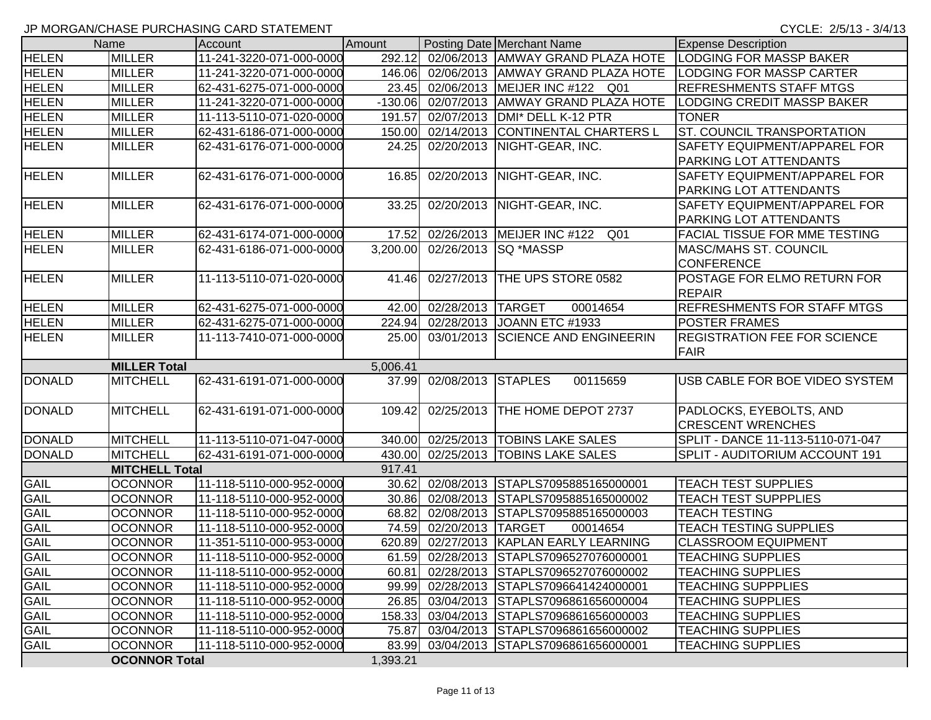|               | Name                  | Account                  | Amount    |                    | Posting Date Merchant Name              | <b>Expense Description</b>           |
|---------------|-----------------------|--------------------------|-----------|--------------------|-----------------------------------------|--------------------------------------|
| <b>HELEN</b>  | <b>MILLER</b>         | 11-241-3220-071-000-0000 | 292.12    |                    | 02/06/2013 AMWAY GRAND PLAZA HOTE       | <b>LODGING FOR MASSP BAKER</b>       |
| <b>HELEN</b>  | <b>MILLER</b>         | 11-241-3220-071-000-0000 | 146.06    |                    | 02/06/2013 AMWAY GRAND PLAZA HOTE       | <b>LODGING FOR MASSP CARTER</b>      |
| <b>HELEN</b>  | <b>MILLER</b>         | 62-431-6275-071-000-0000 | 23.45     |                    | 02/06/2013 MEIJER INC #122 Q01          | <b>REFRESHMENTS STAFF MTGS</b>       |
| <b>HELEN</b>  | <b>MILLER</b>         | 11-241-3220-071-000-0000 | $-130.06$ |                    | 02/07/2013 AMWAY GRAND PLAZA HOTE       | <b>LODGING CREDIT MASSP BAKER</b>    |
| <b>HELEN</b>  | <b>MILLER</b>         | 11-113-5110-071-020-0000 | 191.57    |                    | 02/07/2013   DMI* DELL K-12 PTR         | <b>TONER</b>                         |
| <b>HELEN</b>  | <b>MILLER</b>         | 62-431-6186-071-000-0000 | 150.00    |                    | 02/14/2013 CONTINENTAL CHARTERS L       | <b>ST. COUNCIL TRANSPORTATION</b>    |
| <b>HELEN</b>  | <b>MILLER</b>         | 62-431-6176-071-000-0000 | 24.25     |                    | 02/20/2013   NIGHT-GEAR, INC.           | <b>SAFETY EQUIPMENT/APPAREL FOR</b>  |
|               |                       |                          |           |                    |                                         | <b>PARKING LOT ATTENDANTS</b>        |
| <b>HELEN</b>  | <b>MILLER</b>         | 62-431-6176-071-000-0000 | 16.85     |                    | 02/20/2013 NIGHT-GEAR, INC.             | SAFETY EQUIPMENT/APPAREL FOR         |
|               |                       |                          |           |                    |                                         | <b>PARKING LOT ATTENDANTS</b>        |
| <b>HELEN</b>  | <b>MILLER</b>         | 62-431-6176-071-000-0000 | 33.25     |                    | 02/20/2013 NIGHT-GEAR, INC.             | SAFETY EQUIPMENT/APPAREL FOR         |
|               |                       |                          |           |                    |                                         | <b>PARKING LOT ATTENDANTS</b>        |
| <b>HELEN</b>  | <b>MILLER</b>         | 62-431-6174-071-000-0000 | 17.52     |                    | 02/26/2013 MEIJER INC #122<br>Q01       | <b>FACIAL TISSUE FOR MME TESTING</b> |
| <b>HELEN</b>  | <b>MILLER</b>         | 62-431-6186-071-000-0000 | 3,200.00  |                    | 02/26/2013   SQ * MASSP                 | <b>MASC/MAHS ST. COUNCIL</b>         |
|               |                       |                          |           |                    |                                         | <b>CONFERENCE</b>                    |
| <b>HELEN</b>  | <b>MILLER</b>         | 11-113-5110-071-020-0000 | 41.46     |                    | 02/27/2013 THE UPS STORE 0582           | POSTAGE FOR ELMO RETURN FOR          |
|               |                       |                          |           |                    |                                         | <b>REPAIR</b>                        |
| <b>HELEN</b>  | <b>MILLER</b>         | 62-431-6275-071-000-0000 | 42.00     | 02/28/2013 TARGET  | 00014654                                | <b>REFRESHMENTS FOR STAFF MTGS</b>   |
| <b>HELEN</b>  | <b>MILLER</b>         | 62-431-6275-071-000-0000 | 224.94    |                    | 02/28/2013 JOANN ETC #1933              | <b>POSTER FRAMES</b>                 |
| <b>HELEN</b>  | <b>MILLER</b>         | 11-113-7410-071-000-0000 | 25.00     |                    | 03/01/2013 SCIENCE AND ENGINEERIN       | <b>REGISTRATION FEE FOR SCIENCE</b>  |
|               |                       |                          |           |                    |                                         | FAIR                                 |
|               | <b>MILLER Total</b>   |                          | 5,006.41  |                    |                                         |                                      |
| <b>DONALD</b> | <b>MITCHELL</b>       | 62-431-6191-071-000-0000 | 37.99     | 02/08/2013 STAPLES | 00115659                                | USB CABLE FOR BOE VIDEO SYSTEM       |
|               |                       |                          |           |                    |                                         |                                      |
| <b>DONALD</b> | <b>MITCHELL</b>       | 62-431-6191-071-000-0000 | 109.42    | 02/25/2013         | THE HOME DEPOT 2737                     | PADLOCKS, EYEBOLTS, AND              |
|               |                       |                          |           |                    |                                         | <b>CRESCENT WRENCHES</b>             |
| <b>DONALD</b> | <b>MITCHELL</b>       | 11-113-5110-071-047-0000 | 340.00    |                    | 02/25/2013  TOBINS LAKE SALES           | SPLIT - DANCE 11-113-5110-071-047    |
| <b>DONALD</b> | <b>MITCHELL</b>       | 62-431-6191-071-000-0000 | 430.00    |                    | 02/25/2013  TOBINS LAKE SALES           | SPLIT - AUDITORIUM ACCOUNT 191       |
|               | <b>MITCHELL Total</b> |                          | 917.41    |                    |                                         |                                      |
| <b>GAIL</b>   | <b>OCONNOR</b>        | 11-118-5110-000-952-0000 | 30.62     |                    | 02/08/2013 STAPLS7095885165000001       | <b>TEACH TEST SUPPLIES</b>           |
| <b>GAIL</b>   | <b>OCONNOR</b>        | 11-118-5110-000-952-0000 | 30.86     |                    | 02/08/2013 STAPLS7095885165000002       | <b>TEACH TEST SUPPPLIES</b>          |
| <b>GAIL</b>   | <b>OCONNOR</b>        | 11-118-5110-000-952-0000 | 68.82     |                    | 02/08/2013 STAPLS7095885165000003       | <b>TEACH TESTING</b>                 |
| <b>GAIL</b>   | <b>OCONNOR</b>        | 11-118-5110-000-952-0000 | 74.59     | 02/20/2013 TARGET  | 00014654                                | <b>TEACH TESTING SUPPLIES</b>        |
| <b>GAIL</b>   | <b>OCONNOR</b>        | 11-351-5110-000-953-0000 | 620.89    |                    | 02/27/2013   KAPLAN EARLY LEARNING      | <b>CLASSROOM EQUIPMENT</b>           |
| <b>GAIL</b>   | <b>OCONNOR</b>        | 11-118-5110-000-952-0000 |           |                    | 61.59 02/28/2013 STAPLS7096527076000001 | <b>TEACHING SUPPLIES</b>             |
| <b>GAIL</b>   | <b>OCONNOR</b>        | 11-118-5110-000-952-0000 | 60.81     |                    | 02/28/2013 STAPLS7096527076000002       | <b>TEACHING SUPPLIES</b>             |
| <b>GAIL</b>   | <b>OCONNOR</b>        | 11-118-5110-000-952-0000 | 99.99     |                    | 02/28/2013 STAPLS7096641424000001       | <b>TEACHING SUPPPLIES</b>            |
| <b>GAIL</b>   | <b>OCONNOR</b>        | 11-118-5110-000-952-0000 | 26.85     |                    | 03/04/2013 STAPLS7096861656000004       | <b>TEACHING SUPPLIES</b>             |
| <b>GAIL</b>   | <b>OCONNOR</b>        | 11-118-5110-000-952-0000 | 158.33    |                    | 03/04/2013 STAPLS7096861656000003       | <b>TEACHING SUPPLIES</b>             |
| <b>GAIL</b>   | <b>OCONNOR</b>        | 11-118-5110-000-952-0000 | 75.87     |                    | 03/04/2013 STAPLS7096861656000002       | <b>TEACHING SUPPLIES</b>             |
| <b>GAIL</b>   | <b>OCONNOR</b>        | 11-118-5110-000-952-0000 | 83.99     |                    | 03/04/2013 STAPLS7096861656000001       | <b>TEACHING SUPPLIES</b>             |
|               | <b>OCONNOR Total</b>  |                          | 1,393.21  |                    |                                         |                                      |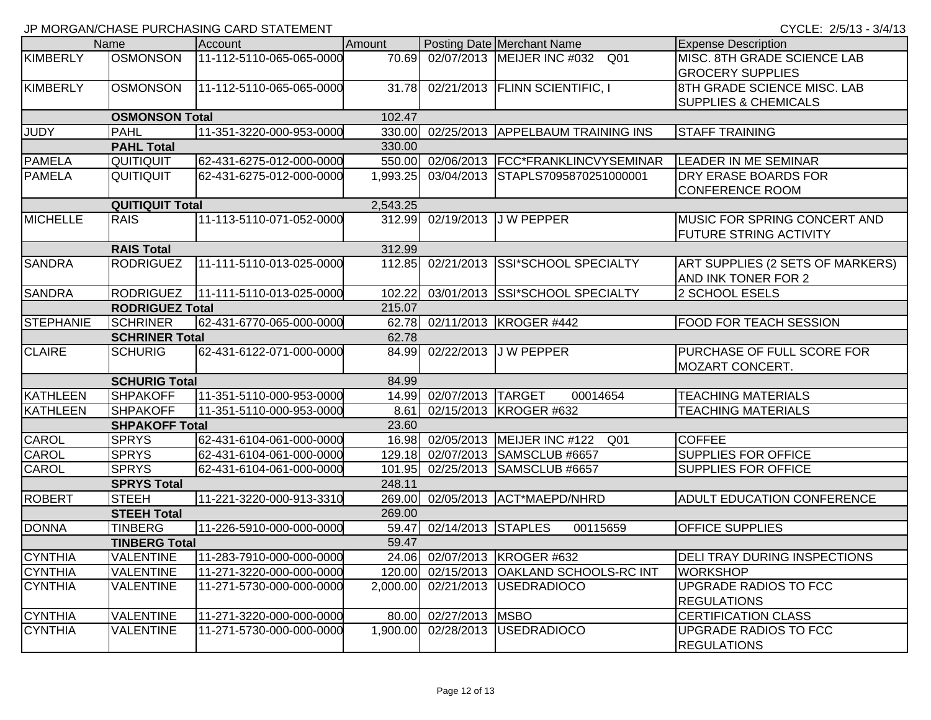|                       |                        | $\frac{1}{2}$ . Then they are the top the term to the control of the control control of the control of the control of the control of the control of the control of the control of the control of the control of the control of th |          |                         |                                          |                                     |
|-----------------------|------------------------|-----------------------------------------------------------------------------------------------------------------------------------------------------------------------------------------------------------------------------------|----------|-------------------------|------------------------------------------|-------------------------------------|
|                       | Name                   | Account                                                                                                                                                                                                                           | Amount   |                         | Posting Date Merchant Name               | <b>Expense Description</b>          |
| KIMBERLY              | <b>OSMONSON</b>        | 11-112-5110-065-065-0000                                                                                                                                                                                                          | 70.69    |                         | 02/07/2013 MEIJER INC #032 Q01           | MISC. 8TH GRADE SCIENCE LAB         |
|                       |                        |                                                                                                                                                                                                                                   |          |                         |                                          | <b>GROCERY SUPPLIES</b>             |
| KIMBERLY              | <b>OSMONSON</b>        | 11-112-5110-065-065-0000                                                                                                                                                                                                          |          |                         | 31.78 02/21/2013 FLINN SCIENTIFIC, I     | 8TH GRADE SCIENCE MISC. LAB         |
|                       |                        |                                                                                                                                                                                                                                   |          |                         |                                          | <b>SUPPLIES &amp; CHEMICALS</b>     |
| <b>OSMONSON Total</b> |                        |                                                                                                                                                                                                                                   | 102.47   |                         |                                          |                                     |
| <b>JUDY</b>           | <b>PAHL</b>            | 11-351-3220-000-953-0000                                                                                                                                                                                                          |          |                         | 330.00 02/25/2013 APPELBAUM TRAINING INS | <b>STAFF TRAINING</b>               |
|                       | <b>PAHL Total</b>      |                                                                                                                                                                                                                                   | 330.00   |                         |                                          |                                     |
| <b>PAMELA</b>         | <b>QUITIQUIT</b>       | 62-431-6275-012-000-0000                                                                                                                                                                                                          | 550.00   |                         | 02/06/2013   FCC*FRANKLINCVYSEMINAR      | <b>LEADER IN ME SEMINAR</b>         |
| <b>PAMELA</b>         | QUITIQUIT              | 62-431-6275-012-000-0000                                                                                                                                                                                                          | 1,993.25 |                         | 03/04/2013 STAPLS7095870251000001        | DRY ERASE BOARDS FOR                |
|                       |                        |                                                                                                                                                                                                                                   |          |                         |                                          | <b>CONFERENCE ROOM</b>              |
|                       | <b>QUITIQUIT Total</b> |                                                                                                                                                                                                                                   | 2,543.25 |                         |                                          |                                     |
| <b>MICHELLE</b>       | <b>RAIS</b>            | 11-113-5110-071-052-0000                                                                                                                                                                                                          |          |                         | 312.99 02/19/2013 J W PEPPER             | MUSIC FOR SPRING CONCERT AND        |
|                       |                        |                                                                                                                                                                                                                                   |          |                         |                                          | <b>FUTURE STRING ACTIVITY</b>       |
|                       | <b>RAIS Total</b>      |                                                                                                                                                                                                                                   | 312.99   |                         |                                          |                                     |
| <b>SANDRA</b>         | <b>RODRIGUEZ</b>       | 11-111-5110-013-025-0000                                                                                                                                                                                                          | 112.85   |                         | 02/21/2013 SSI*SCHOOL SPECIALTY          | ART SUPPLIES (2 SETS OF MARKERS)    |
|                       |                        |                                                                                                                                                                                                                                   |          |                         |                                          | AND INK TONER FOR 2                 |
| <b>SANDRA</b>         | <b>RODRIGUEZ</b>       | 11-111-5110-013-025-0000                                                                                                                                                                                                          | 102.22   |                         | 03/01/2013 SSI*SCHOOL SPECIALTY          | 2 SCHOOL ESELS                      |
|                       | <b>RODRIGUEZ Total</b> |                                                                                                                                                                                                                                   | 215.07   |                         |                                          |                                     |
| <b>STEPHANIE</b>      | <b>SCHRINER</b>        | 62-431-6770-065-000-0000                                                                                                                                                                                                          |          |                         | 62.78 02/11/2013 KROGER #442             | FOOD FOR TEACH SESSION              |
|                       | <b>SCHRINER Total</b>  |                                                                                                                                                                                                                                   | 62.78    |                         |                                          |                                     |
| <b>CLAIRE</b>         | <b>SCHURIG</b>         | 62-431-6122-071-000-0000                                                                                                                                                                                                          | 84.99    |                         | 02/22/2013 J W PEPPER                    | PURCHASE OF FULL SCORE FOR          |
|                       |                        |                                                                                                                                                                                                                                   |          |                         |                                          | MOZART CONCERT.                     |
|                       | <b>SCHURIG Total</b>   |                                                                                                                                                                                                                                   | 84.99    |                         |                                          |                                     |
| KATHLEEN              | <b>SHPAKOFF</b>        | 11-351-5110-000-953-0000                                                                                                                                                                                                          |          | 14.99 02/07/2013 TARGET | 00014654                                 | <b>TEACHING MATERIALS</b>           |
| KATHLEEN              | <b>SHPAKOFF</b>        | 11-351-5110-000-953-0000                                                                                                                                                                                                          | 8.61     |                         | 02/15/2013 KROGER #632                   | <b>TEACHING MATERIALS</b>           |
|                       | <b>SHPAKOFF Total</b>  |                                                                                                                                                                                                                                   | 23.60    |                         |                                          |                                     |
| <b>CAROL</b>          | <b>SPRYS</b>           | 62-431-6104-061-000-0000                                                                                                                                                                                                          | 16.98    |                         | 02/05/2013 MEIJER INC #122<br>Q01        | <b>COFFEE</b>                       |
| <b>CAROL</b>          | <b>SPRYS</b>           | 62-431-6104-061-000-0000                                                                                                                                                                                                          |          |                         | 129.18 02/07/2013 SAMSCLUB #6657         | <b>SUPPLIES FOR OFFICE</b>          |
| <b>CAROL</b>          | <b>SPRYS</b>           | 62-431-6104-061-000-0000                                                                                                                                                                                                          |          |                         | 101.95 02/25/2013 SAMSCLUB #6657         | SUPPLIES FOR OFFICE                 |
|                       | <b>SPRYS Total</b>     |                                                                                                                                                                                                                                   | 248.11   |                         |                                          |                                     |
| <b>ROBERT</b>         | <b>STEEH</b>           | 11-221-3220-000-913-3310                                                                                                                                                                                                          |          |                         | 269.00 02/05/2013 ACT*MAEPD/NHRD         | <b>ADULT EDUCATION CONFERENCE</b>   |
|                       | <b>STEEH Total</b>     |                                                                                                                                                                                                                                   | 269.00   |                         |                                          |                                     |
| <b>DONNA</b>          | <b>TINBERG</b>         | 11-226-5910-000-000-0000                                                                                                                                                                                                          | 59.47    | 02/14/2013 STAPLES      | 00115659                                 | <b>OFFICE SUPPLIES</b>              |
|                       | <b>TINBERG Total</b>   |                                                                                                                                                                                                                                   | 59.47    |                         |                                          |                                     |
| <b>CYNTHIA</b>        | <b>VALENTINE</b>       | 11-283-7910-000-000-0000                                                                                                                                                                                                          |          |                         | 24.06 02/07/2013 KROGER #632             | <b>DELI TRAY DURING INSPECTIONS</b> |
| <b>CYNTHIA</b>        | <b>VALENTINE</b>       | 11-271-3220-000-000-0000                                                                                                                                                                                                          |          |                         | 120.00 02/15/2013 OAKLAND SCHOOLS-RC INT | <b>WORKSHOP</b>                     |
| <b>CYNTHIA</b>        | <b>VALENTINE</b>       | 11-271-5730-000-000-0000                                                                                                                                                                                                          | 2,000.00 |                         | 02/21/2013 USEDRADIOCO                   | UPGRADE RADIOS TO FCC               |
|                       |                        |                                                                                                                                                                                                                                   |          |                         |                                          | <b>REGULATIONS</b>                  |
| <b>CYNTHIA</b>        | <b>VALENTINE</b>       | 11-271-3220-000-000-0000                                                                                                                                                                                                          | 80.00    | 02/27/2013 MSBO         |                                          | <b>CERTIFICATION CLASS</b>          |
| <b>CYNTHIA</b>        | <b>VALENTINE</b>       | 11-271-5730-000-000-0000                                                                                                                                                                                                          | 1,900.00 |                         | 02/28/2013 USEDRADIOCO                   | UPGRADE RADIOS TO FCC               |
|                       |                        |                                                                                                                                                                                                                                   |          |                         |                                          | <b>REGULATIONS</b>                  |